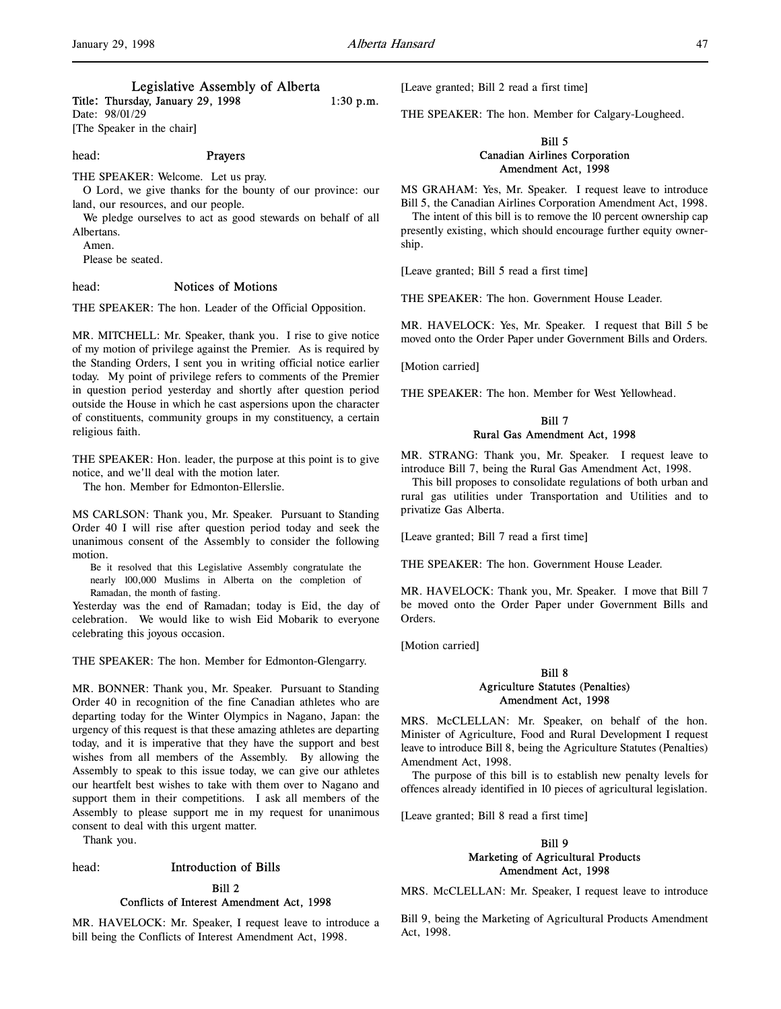# Legislative Assembly of Alberta

Title: Thursday, January 29, 1998 1:30 p.m. Date: 98/01/29

[The Speaker in the chair]

### head: Prayers

THE SPEAKER: Welcome. Let us pray.

O Lord, we give thanks for the bounty of our province: our land, our resources, and our people.

We pledge ourselves to act as good stewards on behalf of all Albertans.

Amen.

Please be seated.

# head: Notices of Motions

THE SPEAKER: The hon. Leader of the Official Opposition.

MR. MITCHELL: Mr. Speaker, thank you. I rise to give notice of my motion of privilege against the Premier. As is required by the Standing Orders, I sent you in writing official notice earlier today. My point of privilege refers to comments of the Premier in question period yesterday and shortly after question period outside the House in which he cast aspersions upon the character of constituents, community groups in my constituency, a certain religious faith.

THE SPEAKER: Hon. leader, the purpose at this point is to give notice, and we'll deal with the motion later.

The hon. Member for Edmonton-Ellerslie.

MS CARLSON: Thank you, Mr. Speaker. Pursuant to Standing Order 40 I will rise after question period today and seek the unanimous consent of the Assembly to consider the following motion.

Be it resolved that this Legislative Assembly congratulate the nearly 100,000 Muslims in Alberta on the completion of Ramadan, the month of fasting.

Yesterday was the end of Ramadan; today is Eid, the day of celebration. We would like to wish Eid Mobarik to everyone celebrating this joyous occasion.

THE SPEAKER: The hon. Member for Edmonton-Glengarry.

MR. BONNER: Thank you, Mr. Speaker. Pursuant to Standing Order 40 in recognition of the fine Canadian athletes who are departing today for the Winter Olympics in Nagano, Japan: the urgency of this request is that these amazing athletes are departing today, and it is imperative that they have the support and best wishes from all members of the Assembly. By allowing the Assembly to speak to this issue today, we can give our athletes our heartfelt best wishes to take with them over to Nagano and support them in their competitions. I ask all members of the Assembly to please support me in my request for unanimous consent to deal with this urgent matter.

Thank you.

### head: Introduction of Bills

# Bill 2 Conflicts of Interest Amendment Act, 1998

MR. HAVELOCK: Mr. Speaker, I request leave to introduce a bill being the Conflicts of Interest Amendment Act, 1998.

[Leave granted; Bill 2 read a first time]

THE SPEAKER: The hon. Member for Calgary-Lougheed.

# Bill 5 Canadian Airlines Corporation Amendment Act, 1998

MS GRAHAM: Yes, Mr. Speaker. I request leave to introduce Bill 5, the Canadian Airlines Corporation Amendment Act, 1998.

The intent of this bill is to remove the 10 percent ownership cap presently existing, which should encourage further equity ownership.

[Leave granted; Bill 5 read a first time]

THE SPEAKER: The hon. Government House Leader.

MR. HAVELOCK: Yes, Mr. Speaker. I request that Bill 5 be moved onto the Order Paper under Government Bills and Orders.

[Motion carried]

THE SPEAKER: The hon. Member for West Yellowhead.

# Bill 7 Rural Gas Amendment Act, 1998

MR. STRANG: Thank you, Mr. Speaker. I request leave to introduce Bill 7, being the Rural Gas Amendment Act, 1998.

This bill proposes to consolidate regulations of both urban and rural gas utilities under Transportation and Utilities and to privatize Gas Alberta.

[Leave granted; Bill 7 read a first time]

THE SPEAKER: The hon. Government House Leader.

MR. HAVELOCK: Thank you, Mr. Speaker. I move that Bill 7 be moved onto the Order Paper under Government Bills and Orders.

[Motion carried]

# Bill 8 Agriculture Statutes (Penalties) Amendment Act, 1998

MRS. McCLELLAN: Mr. Speaker, on behalf of the hon. Minister of Agriculture, Food and Rural Development I request leave to introduce Bill 8, being the Agriculture Statutes (Penalties) Amendment Act, 1998.

The purpose of this bill is to establish new penalty levels for offences already identified in 10 pieces of agricultural legislation.

[Leave granted; Bill 8 read a first time]

# Bill 9 Marketing of Agricultural Products Amendment Act, 1998

MRS. McCLELLAN: Mr. Speaker, I request leave to introduce

Bill 9, being the Marketing of Agricultural Products Amendment Act, 1998.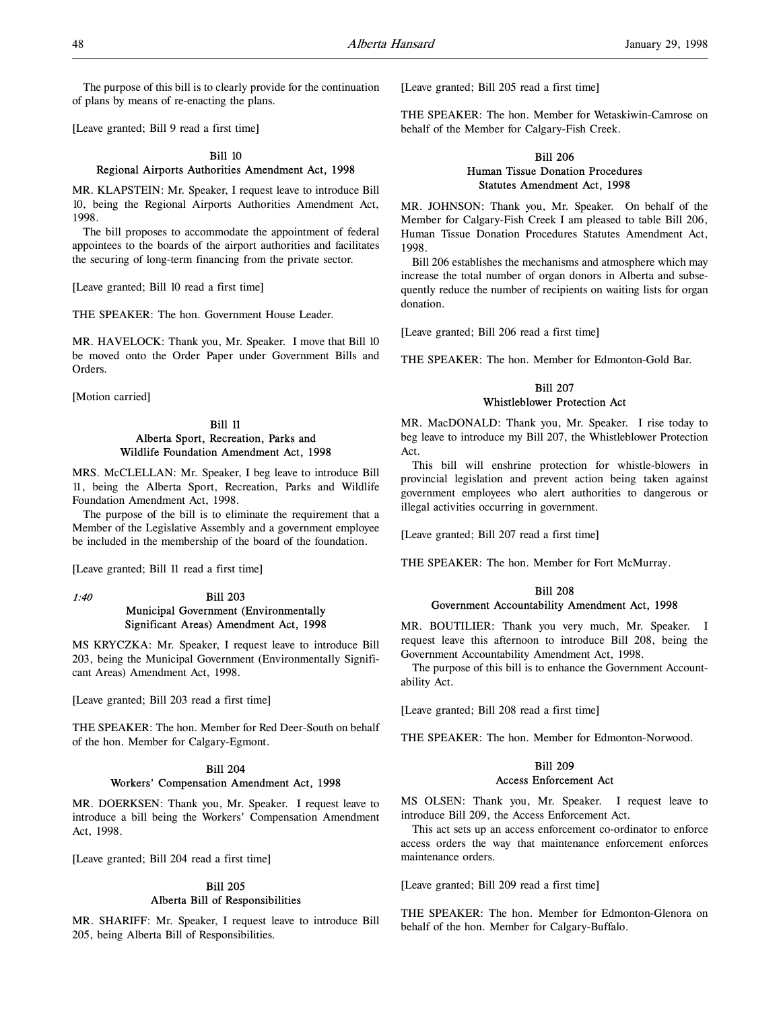The purpose of this bill is to clearly provide for the continuation of plans by means of re-enacting the plans.

[Leave granted; Bill 9 read a first time]

### Bill 10 Regional Airports Authorities Amendment Act, 1998

MR. KLAPSTEIN: Mr. Speaker, I request leave to introduce Bill 10, being the Regional Airports Authorities Amendment Act, 1998.

The bill proposes to accommodate the appointment of federal appointees to the boards of the airport authorities and facilitates the securing of long-term financing from the private sector.

[Leave granted; Bill 10 read a first time]

THE SPEAKER: The hon. Government House Leader.

MR. HAVELOCK: Thank you, Mr. Speaker. I move that Bill 10 be moved onto the Order Paper under Government Bills and Orders.

[Motion carried]

# Bill 11 Alberta Sport, Recreation, Parks and Wildlife Foundation Amendment Act, 1998

MRS. McCLELLAN: Mr. Speaker, I beg leave to introduce Bill 11, being the Alberta Sport, Recreation, Parks and Wildlife Foundation Amendment Act, 1998.

The purpose of the bill is to eliminate the requirement that a Member of the Legislative Assembly and a government employee be included in the membership of the board of the foundation.

[Leave granted; Bill 11 read a first time]

# 1:40 Bill 203 Municipal Government (Environmentally Significant Areas) Amendment Act, 1998

MS KRYCZKA: Mr. Speaker, I request leave to introduce Bill 203, being the Municipal Government (Environmentally Significant Areas) Amendment Act, 1998.

[Leave granted; Bill 203 read a first time]

THE SPEAKER: The hon. Member for Red Deer-South on behalf of the hon. Member for Calgary-Egmont.

# Bill 204 Workers' Compensation Amendment Act, 1998

MR. DOERKSEN: Thank you, Mr. Speaker. I request leave to introduce a bill being the Workers' Compensation Amendment Act, 1998.

[Leave granted; Bill 204 read a first time]

# Bill 205 Alberta Bill of Responsibilities

MR. SHARIFF: Mr. Speaker, I request leave to introduce Bill 205, being Alberta Bill of Responsibilities.

[Leave granted; Bill 205 read a first time]

THE SPEAKER: The hon. Member for Wetaskiwin-Camrose on behalf of the Member for Calgary-Fish Creek.

# Bill 206 Human Tissue Donation Procedures Statutes Amendment Act, 1998

MR. JOHNSON: Thank you, Mr. Speaker. On behalf of the Member for Calgary-Fish Creek I am pleased to table Bill 206, Human Tissue Donation Procedures Statutes Amendment Act, 1998.

Bill 206 establishes the mechanisms and atmosphere which may increase the total number of organ donors in Alberta and subsequently reduce the number of recipients on waiting lists for organ donation.

[Leave granted; Bill 206 read a first time]

THE SPEAKER: The hon. Member for Edmonton-Gold Bar.

# Bill 207 Whistleblower Protection Act

MR. MacDONALD: Thank you, Mr. Speaker. I rise today to beg leave to introduce my Bill 207, the Whistleblower Protection Act.

This bill will enshrine protection for whistle-blowers in provincial legislation and prevent action being taken against government employees who alert authorities to dangerous or illegal activities occurring in government.

[Leave granted; Bill 207 read a first time]

THE SPEAKER: The hon. Member for Fort McMurray.

## Bill 208 Government Accountability Amendment Act, 1998

MR. BOUTILIER: Thank you very much, Mr. Speaker. I request leave this afternoon to introduce Bill 208, being the Government Accountability Amendment Act, 1998.

The purpose of this bill is to enhance the Government Accountability Act.

[Leave granted; Bill 208 read a first time]

THE SPEAKER: The hon. Member for Edmonton-Norwood.

# Bill 209 Access Enforcement Act

MS OLSEN: Thank you, Mr. Speaker. I request leave to introduce Bill 209, the Access Enforcement Act.

This act sets up an access enforcement co-ordinator to enforce access orders the way that maintenance enforcement enforces maintenance orders.

[Leave granted; Bill 209 read a first time]

THE SPEAKER: The hon. Member for Edmonton-Glenora on behalf of the hon. Member for Calgary-Buffalo.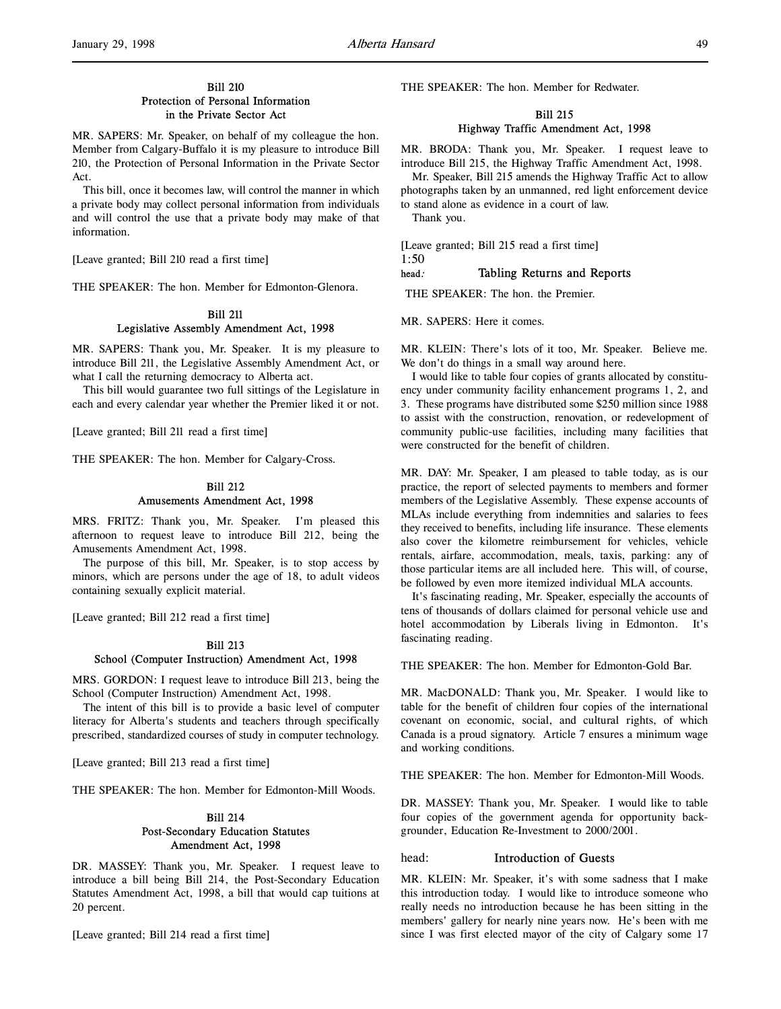# Bill 210 Protection of Personal Information in the Private Sector Act

MR. SAPERS: Mr. Speaker, on behalf of my colleague the hon. Member from Calgary-Buffalo it is my pleasure to introduce Bill 210, the Protection of Personal Information in the Private Sector Act.

This bill, once it becomes law, will control the manner in which a private body may collect personal information from individuals and will control the use that a private body may make of that information.

[Leave granted; Bill 210 read a first time]

THE SPEAKER: The hon. Member for Edmonton-Glenora.

# Bill 211 Legislative Assembly Amendment Act, 1998

MR. SAPERS: Thank you, Mr. Speaker. It is my pleasure to introduce Bill 211, the Legislative Assembly Amendment Act, or what I call the returning democracy to Alberta act.

This bill would guarantee two full sittings of the Legislature in each and every calendar year whether the Premier liked it or not.

[Leave granted; Bill 211 read a first time]

THE SPEAKER: The hon. Member for Calgary-Cross.

# Bill 212 Amusements Amendment Act, 1998

MRS. FRITZ: Thank you, Mr. Speaker. I'm pleased this afternoon to request leave to introduce Bill 212, being the Amusements Amendment Act, 1998.

The purpose of this bill, Mr. Speaker, is to stop access by minors, which are persons under the age of 18, to adult videos containing sexually explicit material.

[Leave granted; Bill 212 read a first time]

#### Bill 213

### School (Computer Instruction) Amendment Act, 1998

MRS. GORDON: I request leave to introduce Bill 213, being the School (Computer Instruction) Amendment Act, 1998.

The intent of this bill is to provide a basic level of computer literacy for Alberta's students and teachers through specifically prescribed, standardized courses of study in computer technology.

[Leave granted; Bill 213 read a first time]

THE SPEAKER: The hon. Member for Edmonton-Mill Woods.

# Bill 214 Post-Secondary Education Statutes Amendment Act, 1998

DR. MASSEY: Thank you, Mr. Speaker. I request leave to introduce a bill being Bill 214, the Post-Secondary Education Statutes Amendment Act, 1998, a bill that would cap tuitions at 20 percent.

[Leave granted; Bill 214 read a first time]

THE SPEAKER: The hon. Member for Redwater.

# Bill 215 Highway Traffic Amendment Act, 1998

MR. BRODA: Thank you, Mr. Speaker. I request leave to introduce Bill 215, the Highway Traffic Amendment Act, 1998.

Mr. Speaker, Bill 215 amends the Highway Traffic Act to allow photographs taken by an unmanned, red light enforcement device to stand alone as evidence in a court of law.

Thank you.

[Leave granted; Bill 215 read a first time]

1:50

# head: Tabling Returns and Reports

THE SPEAKER: The hon. the Premier.

MR. SAPERS: Here it comes.

MR. KLEIN: There's lots of it too, Mr. Speaker. Believe me. We don't do things in a small way around here.

I would like to table four copies of grants allocated by constituency under community facility enhancement programs 1, 2, and 3. These programs have distributed some \$250 million since 1988 to assist with the construction, renovation, or redevelopment of community public-use facilities, including many facilities that were constructed for the benefit of children.

MR. DAY: Mr. Speaker, I am pleased to table today, as is our practice, the report of selected payments to members and former members of the Legislative Assembly. These expense accounts of MLAs include everything from indemnities and salaries to fees they received to benefits, including life insurance. These elements also cover the kilometre reimbursement for vehicles, vehicle rentals, airfare, accommodation, meals, taxis, parking: any of those particular items are all included here. This will, of course, be followed by even more itemized individual MLA accounts.

It's fascinating reading, Mr. Speaker, especially the accounts of tens of thousands of dollars claimed for personal vehicle use and hotel accommodation by Liberals living in Edmonton. It's fascinating reading.

THE SPEAKER: The hon. Member for Edmonton-Gold Bar.

MR. MacDONALD: Thank you, Mr. Speaker. I would like to table for the benefit of children four copies of the international covenant on economic, social, and cultural rights, of which Canada is a proud signatory. Article 7 ensures a minimum wage and working conditions.

THE SPEAKER: The hon. Member for Edmonton-Mill Woods.

DR. MASSEY: Thank you, Mr. Speaker. I would like to table four copies of the government agenda for opportunity backgrounder, Education Re-Investment to 2000/2001.

# head: Introduction of Guests

MR. KLEIN: Mr. Speaker, it's with some sadness that I make this introduction today. I would like to introduce someone who really needs no introduction because he has been sitting in the members' gallery for nearly nine years now. He's been with me since I was first elected mayor of the city of Calgary some 17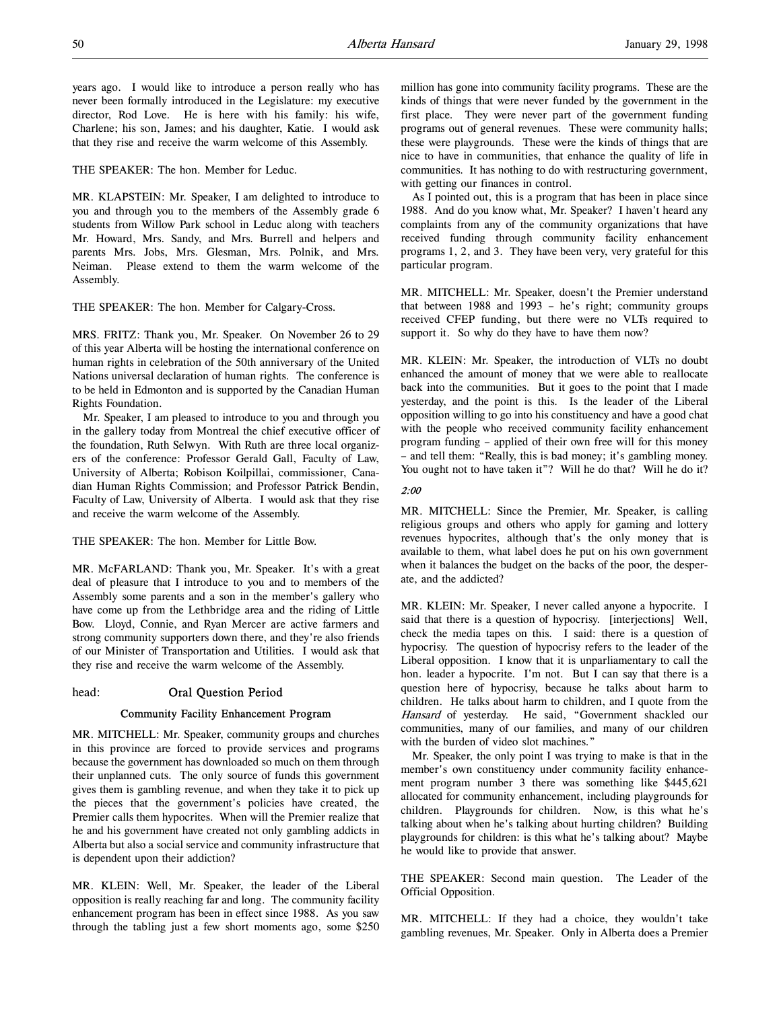years ago. I would like to introduce a person really who has never been formally introduced in the Legislature: my executive director, Rod Love. He is here with his family: his wife, Charlene; his son, James; and his daughter, Katie. I would ask that they rise and receive the warm welcome of this Assembly.

THE SPEAKER: The hon. Member for Leduc.

MR. KLAPSTEIN: Mr. Speaker, I am delighted to introduce to you and through you to the members of the Assembly grade 6 students from Willow Park school in Leduc along with teachers Mr. Howard, Mrs. Sandy, and Mrs. Burrell and helpers and parents Mrs. Jobs, Mrs. Glesman, Mrs. Polnik, and Mrs. Neiman. Please extend to them the warm welcome of the Assembly.

THE SPEAKER: The hon. Member for Calgary-Cross.

MRS. FRITZ: Thank you, Mr. Speaker. On November 26 to 29 of this year Alberta will be hosting the international conference on human rights in celebration of the 50th anniversary of the United Nations universal declaration of human rights. The conference is to be held in Edmonton and is supported by the Canadian Human Rights Foundation.

Mr. Speaker, I am pleased to introduce to you and through you in the gallery today from Montreal the chief executive officer of the foundation, Ruth Selwyn. With Ruth are three local organizers of the conference: Professor Gerald Gall, Faculty of Law, University of Alberta; Robison Koilpillai, commissioner, Canadian Human Rights Commission; and Professor Patrick Bendin, Faculty of Law, University of Alberta. I would ask that they rise and receive the warm welcome of the Assembly.

THE SPEAKER: The hon. Member for Little Bow.

MR. McFARLAND: Thank you, Mr. Speaker. It's with a great deal of pleasure that I introduce to you and to members of the Assembly some parents and a son in the member's gallery who have come up from the Lethbridge area and the riding of Little Bow. Lloyd, Connie, and Ryan Mercer are active farmers and strong community supporters down there, and they're also friends of our Minister of Transportation and Utilities. I would ask that they rise and receive the warm welcome of the Assembly.

# head: Oral Question Period

# Community Facility Enhancement Program

MR. MITCHELL: Mr. Speaker, community groups and churches in this province are forced to provide services and programs because the government has downloaded so much on them through their unplanned cuts. The only source of funds this government gives them is gambling revenue, and when they take it to pick up the pieces that the government's policies have created, the Premier calls them hypocrites. When will the Premier realize that he and his government have created not only gambling addicts in Alberta but also a social service and community infrastructure that is dependent upon their addiction?

MR. KLEIN: Well, Mr. Speaker, the leader of the Liberal opposition is really reaching far and long. The community facility enhancement program has been in effect since 1988. As you saw through the tabling just a few short moments ago, some \$250

million has gone into community facility programs. These are the kinds of things that were never funded by the government in the first place. They were never part of the government funding programs out of general revenues. These were community halls; these were playgrounds. These were the kinds of things that are nice to have in communities, that enhance the quality of life in communities. It has nothing to do with restructuring government, with getting our finances in control.

As I pointed out, this is a program that has been in place since 1988. And do you know what, Mr. Speaker? I haven't heard any complaints from any of the community organizations that have received funding through community facility enhancement programs 1, 2, and 3. They have been very, very grateful for this particular program.

MR. MITCHELL: Mr. Speaker, doesn't the Premier understand that between 1988 and 1993 – he's right; community groups received CFEP funding, but there were no VLTs required to support it. So why do they have to have them now?

MR. KLEIN: Mr. Speaker, the introduction of VLTs no doubt enhanced the amount of money that we were able to reallocate back into the communities. But it goes to the point that I made yesterday, and the point is this. Is the leader of the Liberal opposition willing to go into his constituency and have a good chat with the people who received community facility enhancement program funding – applied of their own free will for this money – and tell them: "Really, this is bad money; it's gambling money. You ought not to have taken it"? Will he do that? Will he do it?

# 2:00

MR. MITCHELL: Since the Premier, Mr. Speaker, is calling religious groups and others who apply for gaming and lottery revenues hypocrites, although that's the only money that is available to them, what label does he put on his own government when it balances the budget on the backs of the poor, the desperate, and the addicted?

MR. KLEIN: Mr. Speaker, I never called anyone a hypocrite. I said that there is a question of hypocrisy. [interjections] Well, check the media tapes on this. I said: there is a question of hypocrisy. The question of hypocrisy refers to the leader of the Liberal opposition. I know that it is unparliamentary to call the hon. leader a hypocrite. I'm not. But I can say that there is a question here of hypocrisy, because he talks about harm to children. He talks about harm to children, and I quote from the Hansard of yesterday. He said, "Government shackled our communities, many of our families, and many of our children with the burden of video slot machines."

Mr. Speaker, the only point I was trying to make is that in the member's own constituency under community facility enhancement program number 3 there was something like \$445,621 allocated for community enhancement, including playgrounds for children. Playgrounds for children. Now, is this what he's talking about when he's talking about hurting children? Building playgrounds for children: is this what he's talking about? Maybe he would like to provide that answer.

THE SPEAKER: Second main question. The Leader of the Official Opposition.

MR. MITCHELL: If they had a choice, they wouldn't take gambling revenues, Mr. Speaker. Only in Alberta does a Premier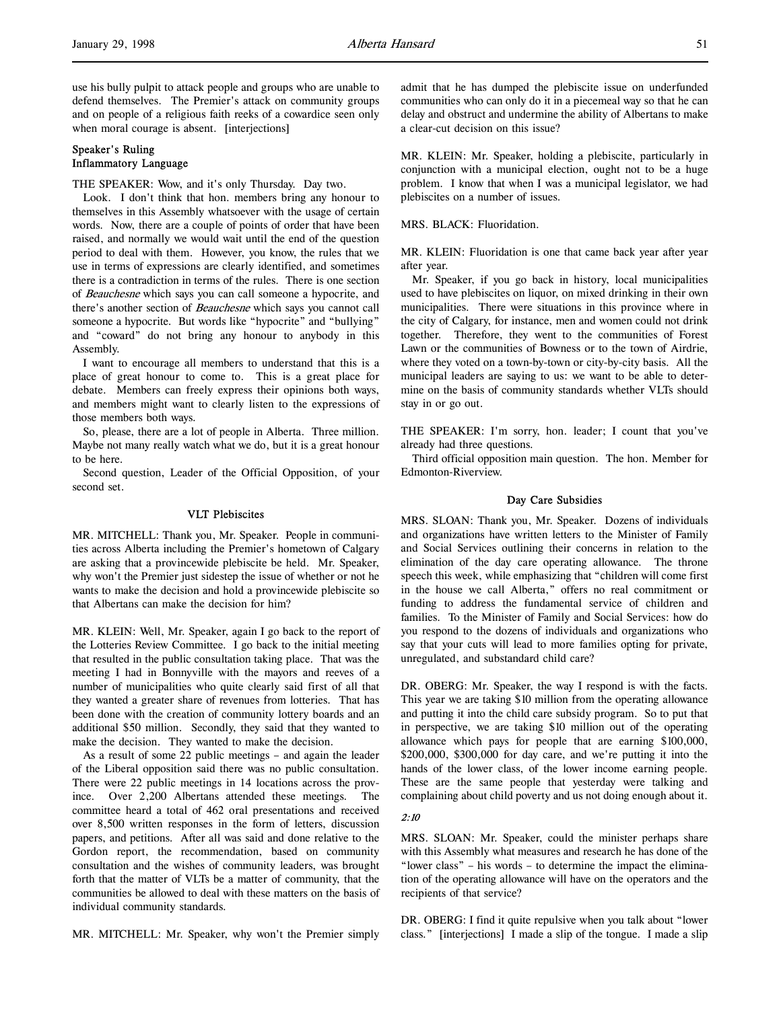use his bully pulpit to attack people and groups who are unable to defend themselves. The Premier's attack on community groups and on people of a religious faith reeks of a cowardice seen only when moral courage is absent. [interjections]

# Speaker's Ruling Inflammatory Language

THE SPEAKER: Wow, and it's only Thursday. Day two.

Look. I don't think that hon. members bring any honour to themselves in this Assembly whatsoever with the usage of certain words. Now, there are a couple of points of order that have been raised, and normally we would wait until the end of the question period to deal with them. However, you know, the rules that we use in terms of expressions are clearly identified, and sometimes there is a contradiction in terms of the rules. There is one section of Beauchesne which says you can call someone a hypocrite, and there's another section of Beauchesne which says you cannot call someone a hypocrite. But words like "hypocrite" and "bullying" and "coward" do not bring any honour to anybody in this Assembly.

I want to encourage all members to understand that this is a place of great honour to come to. This is a great place for debate. Members can freely express their opinions both ways, and members might want to clearly listen to the expressions of those members both ways.

So, please, there are a lot of people in Alberta. Three million. Maybe not many really watch what we do, but it is a great honour to be here.

Second question, Leader of the Official Opposition, of your second set.

### VLT Plebiscites

MR. MITCHELL: Thank you, Mr. Speaker. People in communities across Alberta including the Premier's hometown of Calgary are asking that a provincewide plebiscite be held. Mr. Speaker, why won't the Premier just sidestep the issue of whether or not he wants to make the decision and hold a provincewide plebiscite so that Albertans can make the decision for him?

MR. KLEIN: Well, Mr. Speaker, again I go back to the report of the Lotteries Review Committee. I go back to the initial meeting that resulted in the public consultation taking place. That was the meeting I had in Bonnyville with the mayors and reeves of a number of municipalities who quite clearly said first of all that they wanted a greater share of revenues from lotteries. That has been done with the creation of community lottery boards and an additional \$50 million. Secondly, they said that they wanted to make the decision. They wanted to make the decision.

As a result of some 22 public meetings – and again the leader of the Liberal opposition said there was no public consultation. There were 22 public meetings in 14 locations across the province. Over 2,200 Albertans attended these meetings. The committee heard a total of 462 oral presentations and received over 8,500 written responses in the form of letters, discussion papers, and petitions. After all was said and done relative to the Gordon report, the recommendation, based on community consultation and the wishes of community leaders, was brought forth that the matter of VLTs be a matter of community, that the communities be allowed to deal with these matters on the basis of individual community standards.

MR. MITCHELL: Mr. Speaker, why won't the Premier simply

admit that he has dumped the plebiscite issue on underfunded communities who can only do it in a piecemeal way so that he can delay and obstruct and undermine the ability of Albertans to make a clear-cut decision on this issue?

MR. KLEIN: Mr. Speaker, holding a plebiscite, particularly in conjunction with a municipal election, ought not to be a huge problem. I know that when I was a municipal legislator, we had plebiscites on a number of issues.

#### MRS. BLACK: Fluoridation.

MR. KLEIN: Fluoridation is one that came back year after year after year.

Mr. Speaker, if you go back in history, local municipalities used to have plebiscites on liquor, on mixed drinking in their own municipalities. There were situations in this province where in the city of Calgary, for instance, men and women could not drink together. Therefore, they went to the communities of Forest Lawn or the communities of Bowness or to the town of Airdrie, where they voted on a town-by-town or city-by-city basis. All the municipal leaders are saying to us: we want to be able to determine on the basis of community standards whether VLTs should stay in or go out.

THE SPEAKER: I'm sorry, hon. leader; I count that you've already had three questions.

Third official opposition main question. The hon. Member for Edmonton-Riverview.

### Day Care Subsidies

MRS. SLOAN: Thank you, Mr. Speaker. Dozens of individuals and organizations have written letters to the Minister of Family and Social Services outlining their concerns in relation to the elimination of the day care operating allowance. The throne speech this week, while emphasizing that "children will come first in the house we call Alberta," offers no real commitment or funding to address the fundamental service of children and families. To the Minister of Family and Social Services: how do you respond to the dozens of individuals and organizations who say that your cuts will lead to more families opting for private, unregulated, and substandard child care?

DR. OBERG: Mr. Speaker, the way I respond is with the facts. This year we are taking \$10 million from the operating allowance and putting it into the child care subsidy program. So to put that in perspective, we are taking \$10 million out of the operating allowance which pays for people that are earning \$100,000, \$200,000, \$300,000 for day care, and we're putting it into the hands of the lower class, of the lower income earning people. These are the same people that yesterday were talking and complaining about child poverty and us not doing enough about it.

### 2:10

MRS. SLOAN: Mr. Speaker, could the minister perhaps share with this Assembly what measures and research he has done of the "lower class" – his words – to determine the impact the elimination of the operating allowance will have on the operators and the recipients of that service?

DR. OBERG: I find it quite repulsive when you talk about "lower class." [interjections] I made a slip of the tongue. I made a slip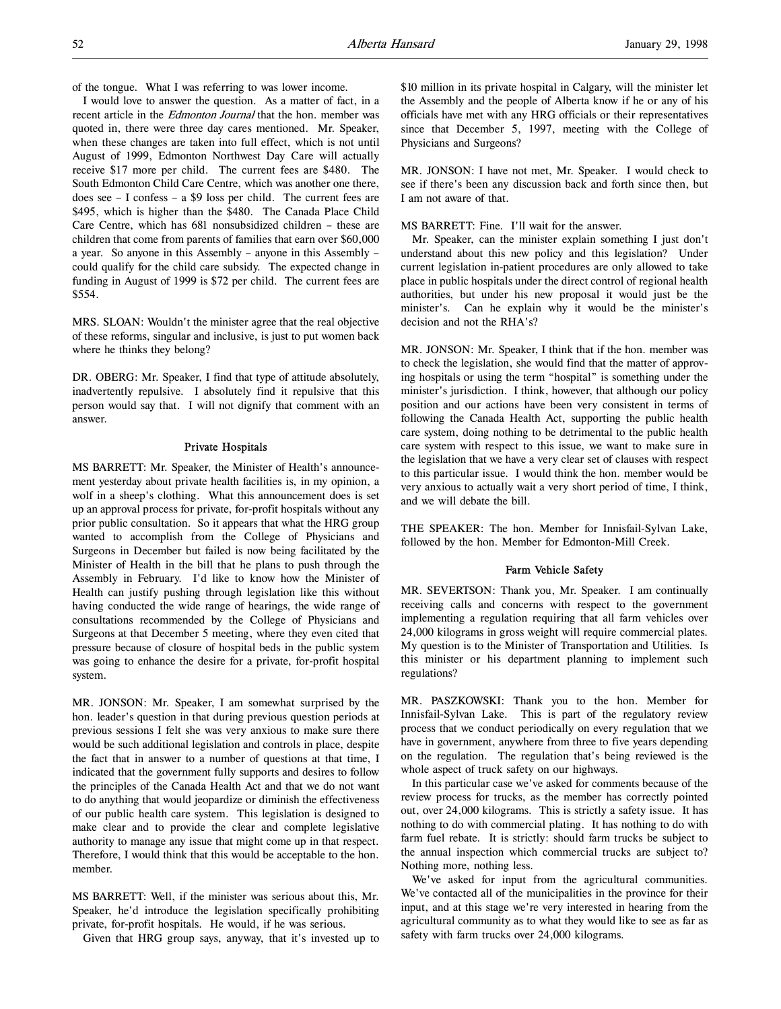of the tongue. What I was referring to was lower income.

I would love to answer the question. As a matter of fact, in a recent article in the *Edmonton Journal* that the hon. member was quoted in, there were three day cares mentioned. Mr. Speaker, when these changes are taken into full effect, which is not until August of 1999, Edmonton Northwest Day Care will actually receive \$17 more per child. The current fees are \$480. The South Edmonton Child Care Centre, which was another one there, does see – I confess – a \$9 loss per child. The current fees are \$495, which is higher than the \$480. The Canada Place Child Care Centre, which has 681 nonsubsidized children – these are children that come from parents of families that earn over \$60,000 a year. So anyone in this Assembly – anyone in this Assembly – could qualify for the child care subsidy. The expected change in funding in August of 1999 is \$72 per child. The current fees are \$554.

MRS. SLOAN: Wouldn't the minister agree that the real objective of these reforms, singular and inclusive, is just to put women back where he thinks they belong?

DR. OBERG: Mr. Speaker, I find that type of attitude absolutely, inadvertently repulsive. I absolutely find it repulsive that this person would say that. I will not dignify that comment with an answer.

### Private Hospitals

MS BARRETT: Mr. Speaker, the Minister of Health's announcement yesterday about private health facilities is, in my opinion, a wolf in a sheep's clothing. What this announcement does is set up an approval process for private, for-profit hospitals without any prior public consultation. So it appears that what the HRG group wanted to accomplish from the College of Physicians and Surgeons in December but failed is now being facilitated by the Minister of Health in the bill that he plans to push through the Assembly in February. I'd like to know how the Minister of Health can justify pushing through legislation like this without having conducted the wide range of hearings, the wide range of consultations recommended by the College of Physicians and Surgeons at that December 5 meeting, where they even cited that pressure because of closure of hospital beds in the public system was going to enhance the desire for a private, for-profit hospital system.

MR. JONSON: Mr. Speaker, I am somewhat surprised by the hon. leader's question in that during previous question periods at previous sessions I felt she was very anxious to make sure there would be such additional legislation and controls in place, despite the fact that in answer to a number of questions at that time, I indicated that the government fully supports and desires to follow the principles of the Canada Health Act and that we do not want to do anything that would jeopardize or diminish the effectiveness of our public health care system. This legislation is designed to make clear and to provide the clear and complete legislative authority to manage any issue that might come up in that respect. Therefore, I would think that this would be acceptable to the hon. member.

MS BARRETT: Well, if the minister was serious about this, Mr. Speaker, he'd introduce the legislation specifically prohibiting private, for-profit hospitals. He would, if he was serious.

Given that HRG group says, anyway, that it's invested up to

\$10 million in its private hospital in Calgary, will the minister let the Assembly and the people of Alberta know if he or any of his officials have met with any HRG officials or their representatives since that December 5, 1997, meeting with the College of Physicians and Surgeons?

MR. JONSON: I have not met, Mr. Speaker. I would check to see if there's been any discussion back and forth since then, but I am not aware of that.

MS BARRETT: Fine. I'll wait for the answer.

Mr. Speaker, can the minister explain something I just don't understand about this new policy and this legislation? Under current legislation in-patient procedures are only allowed to take place in public hospitals under the direct control of regional health authorities, but under his new proposal it would just be the minister's. Can he explain why it would be the minister's decision and not the RHA's?

MR. JONSON: Mr. Speaker, I think that if the hon. member was to check the legislation, she would find that the matter of approving hospitals or using the term "hospital" is something under the minister's jurisdiction. I think, however, that although our policy position and our actions have been very consistent in terms of following the Canada Health Act, supporting the public health care system, doing nothing to be detrimental to the public health care system with respect to this issue, we want to make sure in the legislation that we have a very clear set of clauses with respect to this particular issue. I would think the hon. member would be very anxious to actually wait a very short period of time, I think, and we will debate the bill.

THE SPEAKER: The hon. Member for Innisfail-Sylvan Lake, followed by the hon. Member for Edmonton-Mill Creek.

### Farm Vehicle Safety

MR. SEVERTSON: Thank you, Mr. Speaker. I am continually receiving calls and concerns with respect to the government implementing a regulation requiring that all farm vehicles over 24,000 kilograms in gross weight will require commercial plates. My question is to the Minister of Transportation and Utilities. Is this minister or his department planning to implement such regulations?

MR. PASZKOWSKI: Thank you to the hon. Member for Innisfail-Sylvan Lake. This is part of the regulatory review process that we conduct periodically on every regulation that we have in government, anywhere from three to five years depending on the regulation. The regulation that's being reviewed is the whole aspect of truck safety on our highways.

In this particular case we've asked for comments because of the review process for trucks, as the member has correctly pointed out, over 24,000 kilograms. This is strictly a safety issue. It has nothing to do with commercial plating. It has nothing to do with farm fuel rebate. It is strictly: should farm trucks be subject to the annual inspection which commercial trucks are subject to? Nothing more, nothing less.

We've asked for input from the agricultural communities. We've contacted all of the municipalities in the province for their input, and at this stage we're very interested in hearing from the agricultural community as to what they would like to see as far as safety with farm trucks over 24,000 kilograms.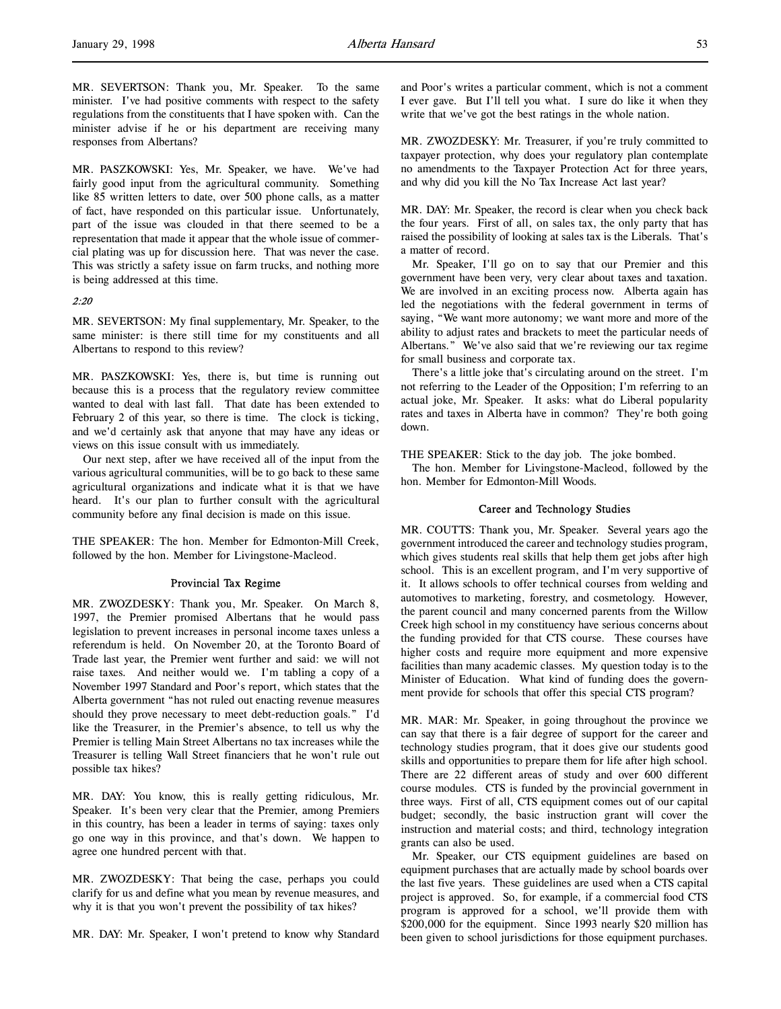MR. SEVERTSON: Thank you, Mr. Speaker. To the same minister. I've had positive comments with respect to the safety regulations from the constituents that I have spoken with. Can the minister advise if he or his department are receiving many responses from Albertans?

MR. PASZKOWSKI: Yes, Mr. Speaker, we have. We've had fairly good input from the agricultural community. Something like 85 written letters to date, over 500 phone calls, as a matter of fact, have responded on this particular issue. Unfortunately, part of the issue was clouded in that there seemed to be a representation that made it appear that the whole issue of commercial plating was up for discussion here. That was never the case. This was strictly a safety issue on farm trucks, and nothing more is being addressed at this time.

### 2:20

MR. SEVERTSON: My final supplementary, Mr. Speaker, to the same minister: is there still time for my constituents and all Albertans to respond to this review?

MR. PASZKOWSKI: Yes, there is, but time is running out because this is a process that the regulatory review committee wanted to deal with last fall. That date has been extended to February 2 of this year, so there is time. The clock is ticking, and we'd certainly ask that anyone that may have any ideas or views on this issue consult with us immediately.

Our next step, after we have received all of the input from the various agricultural communities, will be to go back to these same agricultural organizations and indicate what it is that we have heard. It's our plan to further consult with the agricultural community before any final decision is made on this issue.

THE SPEAKER: The hon. Member for Edmonton-Mill Creek, followed by the hon. Member for Livingstone-Macleod.

### Provincial Tax Regime

MR. ZWOZDESKY: Thank you, Mr. Speaker. On March 8, 1997, the Premier promised Albertans that he would pass legislation to prevent increases in personal income taxes unless a referendum is held. On November 20, at the Toronto Board of Trade last year, the Premier went further and said: we will not raise taxes. And neither would we. I'm tabling a copy of a November 1997 Standard and Poor's report, which states that the Alberta government "has not ruled out enacting revenue measures should they prove necessary to meet debt-reduction goals." I'd like the Treasurer, in the Premier's absence, to tell us why the Premier is telling Main Street Albertans no tax increases while the Treasurer is telling Wall Street financiers that he won't rule out possible tax hikes?

MR. DAY: You know, this is really getting ridiculous, Mr. Speaker. It's been very clear that the Premier, among Premiers in this country, has been a leader in terms of saying: taxes only go one way in this province, and that's down. We happen to agree one hundred percent with that.

MR. ZWOZDESKY: That being the case, perhaps you could clarify for us and define what you mean by revenue measures, and why it is that you won't prevent the possibility of tax hikes?

MR. DAY: Mr. Speaker, I won't pretend to know why Standard

and Poor's writes a particular comment, which is not a comment I ever gave. But I'll tell you what. I sure do like it when they write that we've got the best ratings in the whole nation.

MR. ZWOZDESKY: Mr. Treasurer, if you're truly committed to taxpayer protection, why does your regulatory plan contemplate no amendments to the Taxpayer Protection Act for three years, and why did you kill the No Tax Increase Act last year?

MR. DAY: Mr. Speaker, the record is clear when you check back the four years. First of all, on sales tax, the only party that has raised the possibility of looking at sales tax is the Liberals. That's a matter of record.

Mr. Speaker, I'll go on to say that our Premier and this government have been very, very clear about taxes and taxation. We are involved in an exciting process now. Alberta again has led the negotiations with the federal government in terms of saying, "We want more autonomy; we want more and more of the ability to adjust rates and brackets to meet the particular needs of Albertans." We've also said that we're reviewing our tax regime for small business and corporate tax.

There's a little joke that's circulating around on the street. I'm not referring to the Leader of the Opposition; I'm referring to an actual joke, Mr. Speaker. It asks: what do Liberal popularity rates and taxes in Alberta have in common? They're both going down.

THE SPEAKER: Stick to the day job. The joke bombed.

The hon. Member for Livingstone-Macleod, followed by the hon. Member for Edmonton-Mill Woods.

#### Career and Technology Studies

MR. COUTTS: Thank you, Mr. Speaker. Several years ago the government introduced the career and technology studies program, which gives students real skills that help them get jobs after high school. This is an excellent program, and I'm very supportive of it. It allows schools to offer technical courses from welding and automotives to marketing, forestry, and cosmetology. However, the parent council and many concerned parents from the Willow Creek high school in my constituency have serious concerns about the funding provided for that CTS course. These courses have higher costs and require more equipment and more expensive facilities than many academic classes. My question today is to the Minister of Education. What kind of funding does the government provide for schools that offer this special CTS program?

MR. MAR: Mr. Speaker, in going throughout the province we can say that there is a fair degree of support for the career and technology studies program, that it does give our students good skills and opportunities to prepare them for life after high school. There are 22 different areas of study and over 600 different course modules. CTS is funded by the provincial government in three ways. First of all, CTS equipment comes out of our capital budget; secondly, the basic instruction grant will cover the instruction and material costs; and third, technology integration grants can also be used.

Mr. Speaker, our CTS equipment guidelines are based on equipment purchases that are actually made by school boards over the last five years. These guidelines are used when a CTS capital project is approved. So, for example, if a commercial food CTS program is approved for a school, we'll provide them with \$200,000 for the equipment. Since 1993 nearly \$20 million has been given to school jurisdictions for those equipment purchases.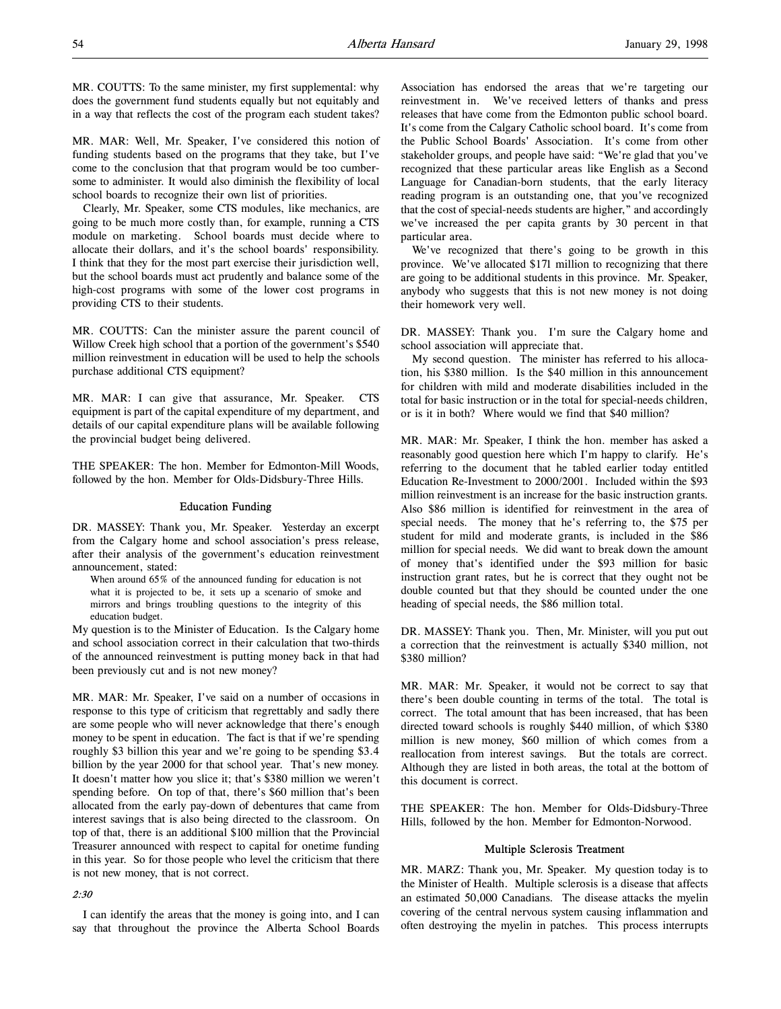MR. COUTTS: To the same minister, my first supplemental: why does the government fund students equally but not equitably and in a way that reflects the cost of the program each student takes?

MR. MAR: Well, Mr. Speaker, I've considered this notion of funding students based on the programs that they take, but I've come to the conclusion that that program would be too cumbersome to administer. It would also diminish the flexibility of local school boards to recognize their own list of priorities.

Clearly, Mr. Speaker, some CTS modules, like mechanics, are going to be much more costly than, for example, running a CTS module on marketing. School boards must decide where to allocate their dollars, and it's the school boards' responsibility. I think that they for the most part exercise their jurisdiction well, but the school boards must act prudently and balance some of the high-cost programs with some of the lower cost programs in providing CTS to their students.

MR. COUTTS: Can the minister assure the parent council of Willow Creek high school that a portion of the government's \$540 million reinvestment in education will be used to help the schools purchase additional CTS equipment?

MR. MAR: I can give that assurance, Mr. Speaker. CTS equipment is part of the capital expenditure of my department, and details of our capital expenditure plans will be available following the provincial budget being delivered.

THE SPEAKER: The hon. Member for Edmonton-Mill Woods, followed by the hon. Member for Olds-Didsbury-Three Hills.

### Education Funding

DR. MASSEY: Thank you, Mr. Speaker. Yesterday an excerpt from the Calgary home and school association's press release, after their analysis of the government's education reinvestment announcement, stated:

When around 65% of the announced funding for education is not what it is projected to be, it sets up a scenario of smoke and mirrors and brings troubling questions to the integrity of this education budget.

My question is to the Minister of Education. Is the Calgary home and school association correct in their calculation that two-thirds of the announced reinvestment is putting money back in that had been previously cut and is not new money?

MR. MAR: Mr. Speaker, I've said on a number of occasions in response to this type of criticism that regrettably and sadly there are some people who will never acknowledge that there's enough money to be spent in education. The fact is that if we're spending roughly \$3 billion this year and we're going to be spending \$3.4 billion by the year 2000 for that school year. That's new money. It doesn't matter how you slice it; that's \$380 million we weren't spending before. On top of that, there's \$60 million that's been allocated from the early pay-down of debentures that came from interest savings that is also being directed to the classroom. On top of that, there is an additional \$100 million that the Provincial Treasurer announced with respect to capital for onetime funding in this year. So for those people who level the criticism that there is not new money, that is not correct.

#### 2:30

I can identify the areas that the money is going into, and I can say that throughout the province the Alberta School Boards

Association has endorsed the areas that we're targeting our reinvestment in. We've received letters of thanks and press releases that have come from the Edmonton public school board. It's come from the Calgary Catholic school board. It's come from the Public School Boards' Association. It's come from other stakeholder groups, and people have said: "We're glad that you've recognized that these particular areas like English as a Second Language for Canadian-born students, that the early literacy reading program is an outstanding one, that you've recognized that the cost of special-needs students are higher," and accordingly we've increased the per capita grants by 30 percent in that particular area.

We've recognized that there's going to be growth in this province. We've allocated \$171 million to recognizing that there are going to be additional students in this province. Mr. Speaker, anybody who suggests that this is not new money is not doing their homework very well.

DR. MASSEY: Thank you. I'm sure the Calgary home and school association will appreciate that.

My second question. The minister has referred to his allocation, his \$380 million. Is the \$40 million in this announcement for children with mild and moderate disabilities included in the total for basic instruction or in the total for special-needs children, or is it in both? Where would we find that \$40 million?

MR. MAR: Mr. Speaker, I think the hon. member has asked a reasonably good question here which I'm happy to clarify. He's referring to the document that he tabled earlier today entitled Education Re-Investment to 2000/2001. Included within the \$93 million reinvestment is an increase for the basic instruction grants. Also \$86 million is identified for reinvestment in the area of special needs. The money that he's referring to, the \$75 per student for mild and moderate grants, is included in the \$86 million for special needs. We did want to break down the amount of money that's identified under the \$93 million for basic instruction grant rates, but he is correct that they ought not be double counted but that they should be counted under the one heading of special needs, the \$86 million total.

DR. MASSEY: Thank you. Then, Mr. Minister, will you put out a correction that the reinvestment is actually \$340 million, not \$380 million?

MR. MAR: Mr. Speaker, it would not be correct to say that there's been double counting in terms of the total. The total is correct. The total amount that has been increased, that has been directed toward schools is roughly \$440 million, of which \$380 million is new money, \$60 million of which comes from a reallocation from interest savings. But the totals are correct. Although they are listed in both areas, the total at the bottom of this document is correct.

THE SPEAKER: The hon. Member for Olds-Didsbury-Three Hills, followed by the hon. Member for Edmonton-Norwood.

#### Multiple Sclerosis Treatment

MR. MARZ: Thank you, Mr. Speaker. My question today is to the Minister of Health. Multiple sclerosis is a disease that affects an estimated 50,000 Canadians. The disease attacks the myelin covering of the central nervous system causing inflammation and often destroying the myelin in patches. This process interrupts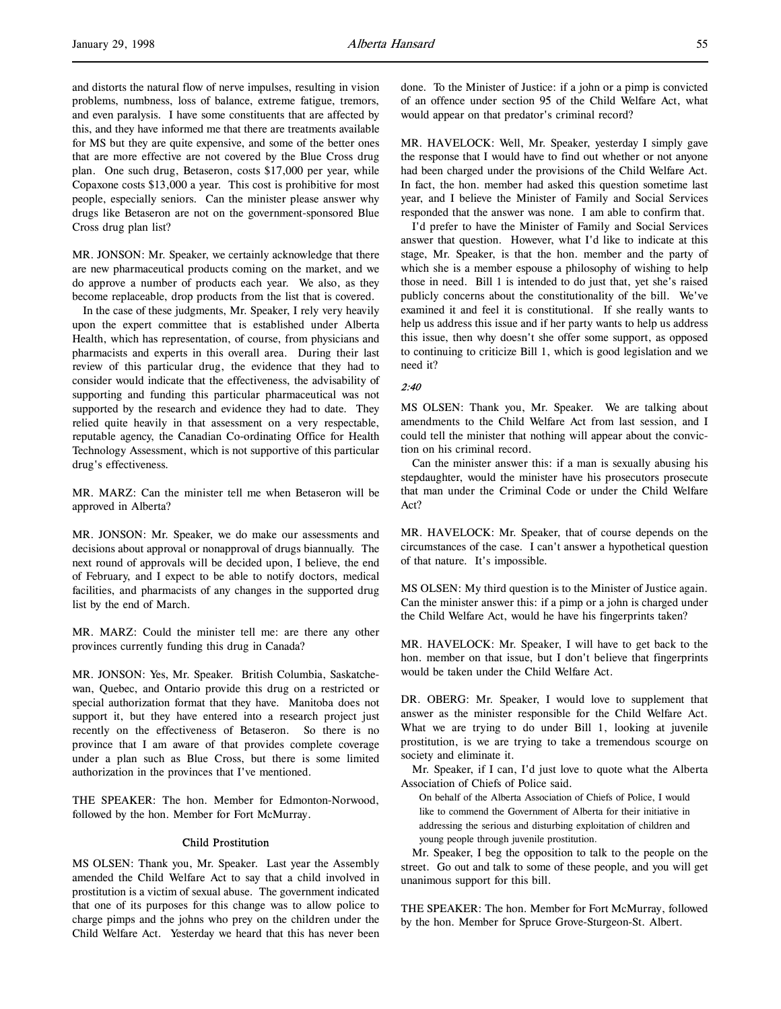and distorts the natural flow of nerve impulses, resulting in vision problems, numbness, loss of balance, extreme fatigue, tremors, and even paralysis. I have some constituents that are affected by this, and they have informed me that there are treatments available for MS but they are quite expensive, and some of the better ones that are more effective are not covered by the Blue Cross drug plan. One such drug, Betaseron, costs \$17,000 per year, while Copaxone costs \$13,000 a year. This cost is prohibitive for most people, especially seniors. Can the minister please answer why drugs like Betaseron are not on the government-sponsored Blue Cross drug plan list?

MR. JONSON: Mr. Speaker, we certainly acknowledge that there are new pharmaceutical products coming on the market, and we do approve a number of products each year. We also, as they become replaceable, drop products from the list that is covered.

In the case of these judgments, Mr. Speaker, I rely very heavily upon the expert committee that is established under Alberta Health, which has representation, of course, from physicians and pharmacists and experts in this overall area. During their last review of this particular drug, the evidence that they had to consider would indicate that the effectiveness, the advisability of supporting and funding this particular pharmaceutical was not supported by the research and evidence they had to date. They relied quite heavily in that assessment on a very respectable, reputable agency, the Canadian Co-ordinating Office for Health Technology Assessment, which is not supportive of this particular drug's effectiveness.

MR. MARZ: Can the minister tell me when Betaseron will be approved in Alberta?

MR. JONSON: Mr. Speaker, we do make our assessments and decisions about approval or nonapproval of drugs biannually. The next round of approvals will be decided upon, I believe, the end of February, and I expect to be able to notify doctors, medical facilities, and pharmacists of any changes in the supported drug list by the end of March.

MR. MARZ: Could the minister tell me: are there any other provinces currently funding this drug in Canada?

MR. JONSON: Yes, Mr. Speaker. British Columbia, Saskatchewan, Quebec, and Ontario provide this drug on a restricted or special authorization format that they have. Manitoba does not support it, but they have entered into a research project just recently on the effectiveness of Betaseron. So there is no province that I am aware of that provides complete coverage under a plan such as Blue Cross, but there is some limited authorization in the provinces that I've mentioned.

THE SPEAKER: The hon. Member for Edmonton-Norwood, followed by the hon. Member for Fort McMurray.

# Child Prostitution

MS OLSEN: Thank you, Mr. Speaker. Last year the Assembly amended the Child Welfare Act to say that a child involved in prostitution is a victim of sexual abuse. The government indicated that one of its purposes for this change was to allow police to charge pimps and the johns who prey on the children under the Child Welfare Act. Yesterday we heard that this has never been

done. To the Minister of Justice: if a john or a pimp is convicted of an offence under section 95 of the Child Welfare Act, what would appear on that predator's criminal record?

MR. HAVELOCK: Well, Mr. Speaker, yesterday I simply gave the response that I would have to find out whether or not anyone had been charged under the provisions of the Child Welfare Act. In fact, the hon. member had asked this question sometime last year, and I believe the Minister of Family and Social Services responded that the answer was none. I am able to confirm that.

I'd prefer to have the Minister of Family and Social Services answer that question. However, what I'd like to indicate at this stage, Mr. Speaker, is that the hon. member and the party of which she is a member espouse a philosophy of wishing to help those in need. Bill 1 is intended to do just that, yet she's raised publicly concerns about the constitutionality of the bill. We've examined it and feel it is constitutional. If she really wants to help us address this issue and if her party wants to help us address this issue, then why doesn't she offer some support, as opposed to continuing to criticize Bill 1, which is good legislation and we need it?

# 2:40

MS OLSEN: Thank you, Mr. Speaker. We are talking about amendments to the Child Welfare Act from last session, and I could tell the minister that nothing will appear about the conviction on his criminal record.

Can the minister answer this: if a man is sexually abusing his stepdaughter, would the minister have his prosecutors prosecute that man under the Criminal Code or under the Child Welfare Act?

MR. HAVELOCK: Mr. Speaker, that of course depends on the circumstances of the case. I can't answer a hypothetical question of that nature. It's impossible.

MS OLSEN: My third question is to the Minister of Justice again. Can the minister answer this: if a pimp or a john is charged under the Child Welfare Act, would he have his fingerprints taken?

MR. HAVELOCK: Mr. Speaker, I will have to get back to the hon. member on that issue, but I don't believe that fingerprints would be taken under the Child Welfare Act.

DR. OBERG: Mr. Speaker, I would love to supplement that answer as the minister responsible for the Child Welfare Act. What we are trying to do under Bill 1, looking at juvenile prostitution, is we are trying to take a tremendous scourge on society and eliminate it.

Mr. Speaker, if I can, I'd just love to quote what the Alberta Association of Chiefs of Police said.

On behalf of the Alberta Association of Chiefs of Police, I would like to commend the Government of Alberta for their initiative in addressing the serious and disturbing exploitation of children and young people through juvenile prostitution.

Mr. Speaker, I beg the opposition to talk to the people on the street. Go out and talk to some of these people, and you will get unanimous support for this bill.

THE SPEAKER: The hon. Member for Fort McMurray, followed by the hon. Member for Spruce Grove-Sturgeon-St. Albert.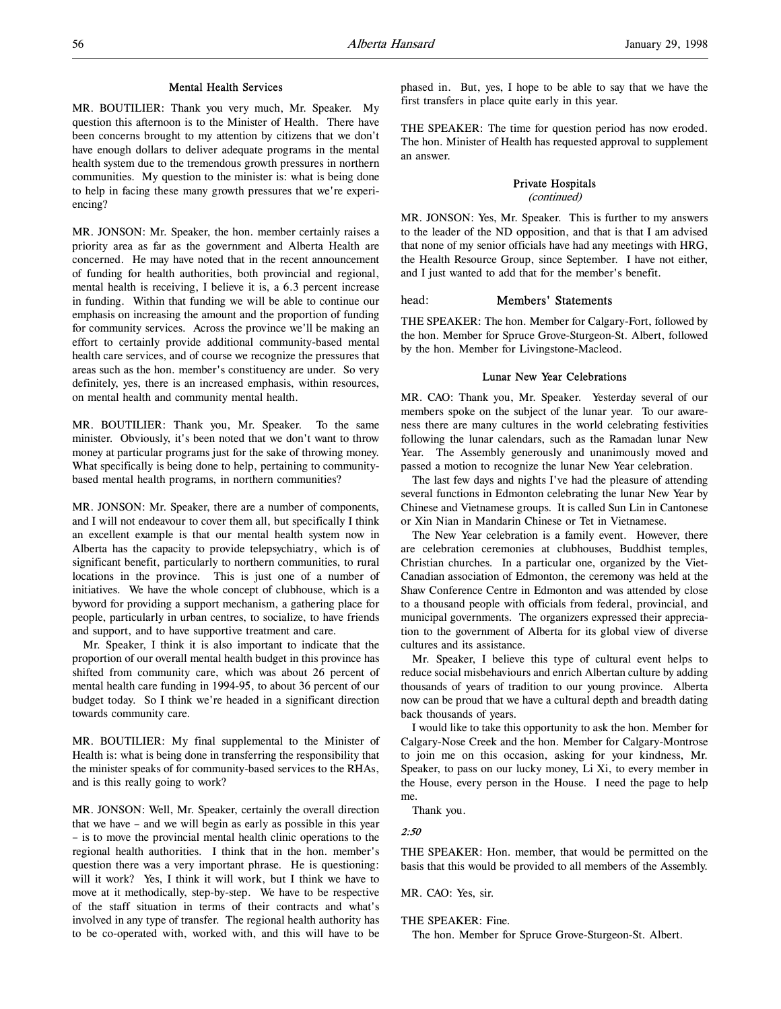### Mental Health Services

MR. BOUTILIER: Thank you very much, Mr. Speaker. My question this afternoon is to the Minister of Health. There have been concerns brought to my attention by citizens that we don't have enough dollars to deliver adequate programs in the mental health system due to the tremendous growth pressures in northern communities. My question to the minister is: what is being done to help in facing these many growth pressures that we're experiencing?

MR. JONSON: Mr. Speaker, the hon. member certainly raises a priority area as far as the government and Alberta Health are concerned. He may have noted that in the recent announcement of funding for health authorities, both provincial and regional, mental health is receiving, I believe it is, a 6.3 percent increase in funding. Within that funding we will be able to continue our emphasis on increasing the amount and the proportion of funding for community services. Across the province we'll be making an effort to certainly provide additional community-based mental health care services, and of course we recognize the pressures that areas such as the hon. member's constituency are under. So very definitely, yes, there is an increased emphasis, within resources, on mental health and community mental health.

MR. BOUTILIER: Thank you, Mr. Speaker. To the same minister. Obviously, it's been noted that we don't want to throw money at particular programs just for the sake of throwing money. What specifically is being done to help, pertaining to communitybased mental health programs, in northern communities?

MR. JONSON: Mr. Speaker, there are a number of components, and I will not endeavour to cover them all, but specifically I think an excellent example is that our mental health system now in Alberta has the capacity to provide telepsychiatry, which is of significant benefit, particularly to northern communities, to rural locations in the province. This is just one of a number of initiatives. We have the whole concept of clubhouse, which is a byword for providing a support mechanism, a gathering place for people, particularly in urban centres, to socialize, to have friends and support, and to have supportive treatment and care.

Mr. Speaker, I think it is also important to indicate that the proportion of our overall mental health budget in this province has shifted from community care, which was about 26 percent of mental health care funding in 1994-95, to about 36 percent of our budget today. So I think we're headed in a significant direction towards community care.

MR. BOUTILIER: My final supplemental to the Minister of Health is: what is being done in transferring the responsibility that the minister speaks of for community-based services to the RHAs, and is this really going to work?

MR. JONSON: Well, Mr. Speaker, certainly the overall direction that we have – and we will begin as early as possible in this year – is to move the provincial mental health clinic operations to the regional health authorities. I think that in the hon. member's question there was a very important phrase. He is questioning: will it work? Yes, I think it will work, but I think we have to move at it methodically, step-by-step. We have to be respective of the staff situation in terms of their contracts and what's involved in any type of transfer. The regional health authority has to be co-operated with, worked with, and this will have to be

phased in. But, yes, I hope to be able to say that we have the first transfers in place quite early in this year.

THE SPEAKER: The time for question period has now eroded. The hon. Minister of Health has requested approval to supplement an answer.

## Private Hospitals

(continued)

MR. JONSON: Yes, Mr. Speaker. This is further to my answers to the leader of the ND opposition, and that is that I am advised that none of my senior officials have had any meetings with HRG, the Health Resource Group, since September. I have not either, and I just wanted to add that for the member's benefit.

# head: Members' Statements

THE SPEAKER: The hon. Member for Calgary-Fort, followed by the hon. Member for Spruce Grove-Sturgeon-St. Albert, followed by the hon. Member for Livingstone-Macleod.

# Lunar New Year Celebrations

MR. CAO: Thank you, Mr. Speaker. Yesterday several of our members spoke on the subject of the lunar year. To our awareness there are many cultures in the world celebrating festivities following the lunar calendars, such as the Ramadan lunar New Year. The Assembly generously and unanimously moved and passed a motion to recognize the lunar New Year celebration.

The last few days and nights I've had the pleasure of attending several functions in Edmonton celebrating the lunar New Year by Chinese and Vietnamese groups. It is called Sun Lin in Cantonese or Xin Nian in Mandarin Chinese or Tet in Vietnamese.

The New Year celebration is a family event. However, there are celebration ceremonies at clubhouses, Buddhist temples, Christian churches. In a particular one, organized by the Viet-Canadian association of Edmonton, the ceremony was held at the Shaw Conference Centre in Edmonton and was attended by close to a thousand people with officials from federal, provincial, and municipal governments. The organizers expressed their appreciation to the government of Alberta for its global view of diverse cultures and its assistance.

Mr. Speaker, I believe this type of cultural event helps to reduce social misbehaviours and enrich Albertan culture by adding thousands of years of tradition to our young province. Alberta now can be proud that we have a cultural depth and breadth dating back thousands of years.

I would like to take this opportunity to ask the hon. Member for Calgary-Nose Creek and the hon. Member for Calgary-Montrose to join me on this occasion, asking for your kindness, Mr. Speaker, to pass on our lucky money, Li Xi, to every member in the House, every person in the House. I need the page to help me.

Thank you.

# 2:50

THE SPEAKER: Hon. member, that would be permitted on the basis that this would be provided to all members of the Assembly.

MR. CAO: Yes, sir.

THE SPEAKER: Fine.

The hon. Member for Spruce Grove-Sturgeon-St. Albert.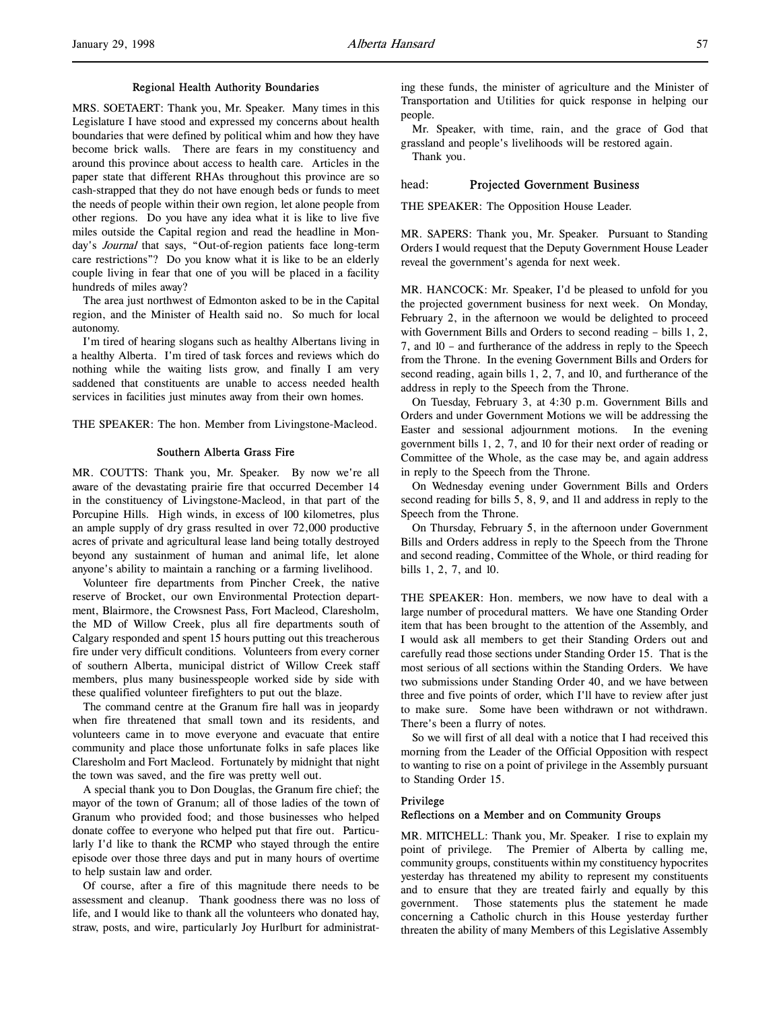### Regional Health Authority Boundaries

MRS. SOETAERT: Thank you, Mr. Speaker. Many times in this Legislature I have stood and expressed my concerns about health boundaries that were defined by political whim and how they have become brick walls. There are fears in my constituency and around this province about access to health care. Articles in the paper state that different RHAs throughout this province are so cash-strapped that they do not have enough beds or funds to meet the needs of people within their own region, let alone people from other regions. Do you have any idea what it is like to live five miles outside the Capital region and read the headline in Monday's *Journal* that says, "Out-of-region patients face long-term care restrictions"? Do you know what it is like to be an elderly couple living in fear that one of you will be placed in a facility hundreds of miles away?

The area just northwest of Edmonton asked to be in the Capital region, and the Minister of Health said no. So much for local autonomy.

I'm tired of hearing slogans such as healthy Albertans living in a healthy Alberta. I'm tired of task forces and reviews which do nothing while the waiting lists grow, and finally I am very saddened that constituents are unable to access needed health services in facilities just minutes away from their own homes.

THE SPEAKER: The hon. Member from Livingstone-Macleod.

#### Southern Alberta Grass Fire

MR. COUTTS: Thank you, Mr. Speaker. By now we're all aware of the devastating prairie fire that occurred December 14 in the constituency of Livingstone-Macleod, in that part of the Porcupine Hills. High winds, in excess of 100 kilometres, plus an ample supply of dry grass resulted in over 72,000 productive acres of private and agricultural lease land being totally destroyed beyond any sustainment of human and animal life, let alone anyone's ability to maintain a ranching or a farming livelihood.

Volunteer fire departments from Pincher Creek, the native reserve of Brocket, our own Environmental Protection department, Blairmore, the Crowsnest Pass, Fort Macleod, Claresholm, the MD of Willow Creek, plus all fire departments south of Calgary responded and spent 15 hours putting out this treacherous fire under very difficult conditions. Volunteers from every corner of southern Alberta, municipal district of Willow Creek staff members, plus many businesspeople worked side by side with these qualified volunteer firefighters to put out the blaze.

The command centre at the Granum fire hall was in jeopardy when fire threatened that small town and its residents, and volunteers came in to move everyone and evacuate that entire community and place those unfortunate folks in safe places like Claresholm and Fort Macleod. Fortunately by midnight that night the town was saved, and the fire was pretty well out.

A special thank you to Don Douglas, the Granum fire chief; the mayor of the town of Granum; all of those ladies of the town of Granum who provided food; and those businesses who helped donate coffee to everyone who helped put that fire out. Particularly I'd like to thank the RCMP who stayed through the entire episode over those three days and put in many hours of overtime to help sustain law and order.

Of course, after a fire of this magnitude there needs to be assessment and cleanup. Thank goodness there was no loss of life, and I would like to thank all the volunteers who donated hay, straw, posts, and wire, particularly Joy Hurlburt for administrat-

ing these funds, the minister of agriculture and the Minister of Transportation and Utilities for quick response in helping our people.

Mr. Speaker, with time, rain, and the grace of God that grassland and people's livelihoods will be restored again.

Thank you.

#### head: Projected Government Business

THE SPEAKER: The Opposition House Leader.

MR. SAPERS: Thank you, Mr. Speaker. Pursuant to Standing Orders I would request that the Deputy Government House Leader reveal the government's agenda for next week.

MR. HANCOCK: Mr. Speaker, I'd be pleased to unfold for you the projected government business for next week. On Monday, February 2, in the afternoon we would be delighted to proceed with Government Bills and Orders to second reading – bills 1, 2, 7, and 10 – and furtherance of the address in reply to the Speech from the Throne. In the evening Government Bills and Orders for second reading, again bills 1, 2, 7, and 10, and furtherance of the address in reply to the Speech from the Throne.

On Tuesday, February 3, at 4:30 p.m. Government Bills and Orders and under Government Motions we will be addressing the Easter and sessional adjournment motions. In the evening government bills 1, 2, 7, and 10 for their next order of reading or Committee of the Whole, as the case may be, and again address in reply to the Speech from the Throne.

On Wednesday evening under Government Bills and Orders second reading for bills 5, 8, 9, and 11 and address in reply to the Speech from the Throne.

On Thursday, February 5, in the afternoon under Government Bills and Orders address in reply to the Speech from the Throne and second reading, Committee of the Whole, or third reading for bills 1, 2, 7, and 10.

THE SPEAKER: Hon. members, we now have to deal with a large number of procedural matters. We have one Standing Order item that has been brought to the attention of the Assembly, and I would ask all members to get their Standing Orders out and carefully read those sections under Standing Order 15. That is the most serious of all sections within the Standing Orders. We have two submissions under Standing Order 40, and we have between three and five points of order, which I'll have to review after just to make sure. Some have been withdrawn or not withdrawn. There's been a flurry of notes.

So we will first of all deal with a notice that I had received this morning from the Leader of the Official Opposition with respect to wanting to rise on a point of privilege in the Assembly pursuant to Standing Order 15.

# Privilege

#### Reflections on a Member and on Community Groups

MR. MITCHELL: Thank you, Mr. Speaker. I rise to explain my point of privilege. The Premier of Alberta by calling me, community groups, constituents within my constituency hypocrites yesterday has threatened my ability to represent my constituents and to ensure that they are treated fairly and equally by this government. Those statements plus the statement he made concerning a Catholic church in this House yesterday further threaten the ability of many Members of this Legislative Assembly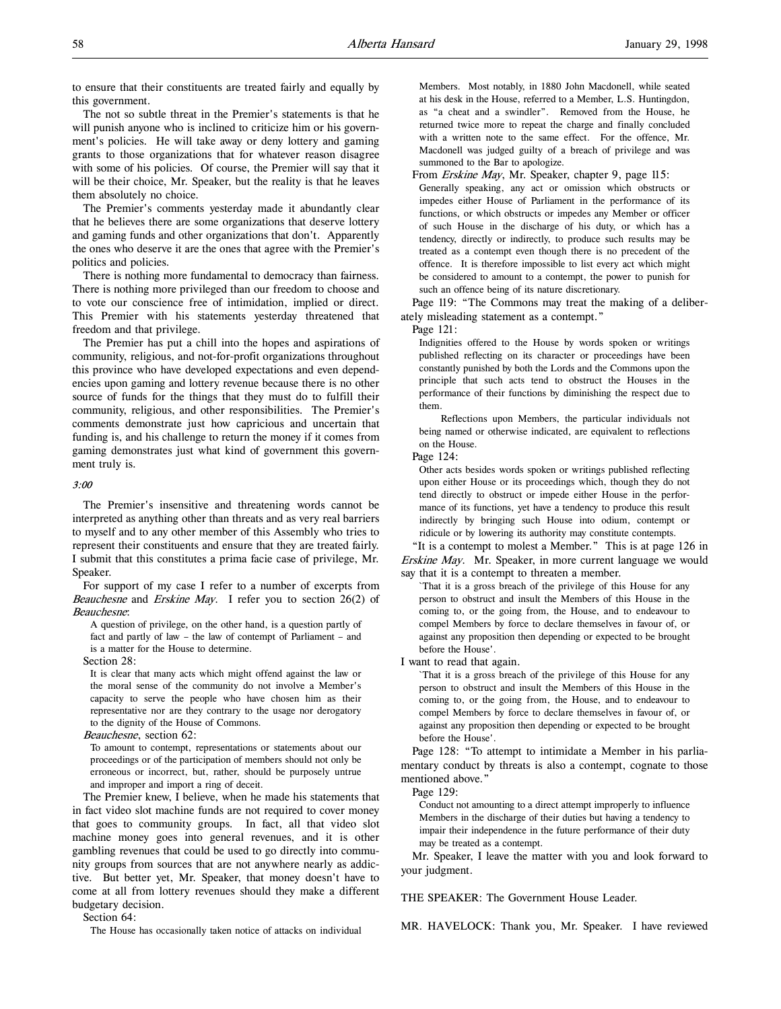to ensure that their constituents are treated fairly and equally by this government.

The not so subtle threat in the Premier's statements is that he will punish anyone who is inclined to criticize him or his government's policies. He will take away or deny lottery and gaming grants to those organizations that for whatever reason disagree with some of his policies. Of course, the Premier will say that it will be their choice, Mr. Speaker, but the reality is that he leaves them absolutely no choice.

The Premier's comments yesterday made it abundantly clear that he believes there are some organizations that deserve lottery and gaming funds and other organizations that don't. Apparently the ones who deserve it are the ones that agree with the Premier's politics and policies.

There is nothing more fundamental to democracy than fairness. There is nothing more privileged than our freedom to choose and to vote our conscience free of intimidation, implied or direct. This Premier with his statements yesterday threatened that freedom and that privilege.

The Premier has put a chill into the hopes and aspirations of community, religious, and not-for-profit organizations throughout this province who have developed expectations and even dependencies upon gaming and lottery revenue because there is no other source of funds for the things that they must do to fulfill their community, religious, and other responsibilities. The Premier's comments demonstrate just how capricious and uncertain that funding is, and his challenge to return the money if it comes from gaming demonstrates just what kind of government this government truly is.

# 3:00

The Premier's insensitive and threatening words cannot be interpreted as anything other than threats and as very real barriers to myself and to any other member of this Assembly who tries to represent their constituents and ensure that they are treated fairly. I submit that this constitutes a prima facie case of privilege, Mr. Speaker.

For support of my case I refer to a number of excerpts from Beauchesne and Erskine May. I refer you to section 26(2) of Beauchesne:

A question of privilege, on the other hand, is a question partly of fact and partly of law – the law of contempt of Parliament – and is a matter for the House to determine.

Section 28:

It is clear that many acts which might offend against the law or the moral sense of the community do not involve a Member's capacity to serve the people who have chosen him as their representative nor are they contrary to the usage nor derogatory to the dignity of the House of Commons.

Beauchesne, section 62:

To amount to contempt, representations or statements about our proceedings or of the participation of members should not only be erroneous or incorrect, but, rather, should be purposely untrue and improper and import a ring of deceit.

The Premier knew, I believe, when he made his statements that in fact video slot machine funds are not required to cover money that goes to community groups. In fact, all that video slot machine money goes into general revenues, and it is other gambling revenues that could be used to go directly into community groups from sources that are not anywhere nearly as addictive. But better yet, Mr. Speaker, that money doesn't have to come at all from lottery revenues should they make a different budgetary decision.

Section 64:

The House has occasionally taken notice of attacks on individual

Members. Most notably, in 1880 John Macdonell, while seated at his desk in the House, referred to a Member, L.S. Huntingdon, as "a cheat and a swindler". Removed from the House, he returned twice more to repeat the charge and finally concluded with a written note to the same effect. For the offence, Mr. Macdonell was judged guilty of a breach of privilege and was summoned to the Bar to apologize.

From Erskine May, Mr. Speaker, chapter 9, page 115:

Generally speaking, any act or omission which obstructs or impedes either House of Parliament in the performance of its functions, or which obstructs or impedes any Member or officer of such House in the discharge of his duty, or which has a tendency, directly or indirectly, to produce such results may be treated as a contempt even though there is no precedent of the offence. It is therefore impossible to list every act which might be considered to amount to a contempt, the power to punish for such an offence being of its nature discretionary.

Page 119: "The Commons may treat the making of a deliberately misleading statement as a contempt."

Page 121:

Indignities offered to the House by words spoken or writings published reflecting on its character or proceedings have been constantly punished by both the Lords and the Commons upon the principle that such acts tend to obstruct the Houses in the performance of their functions by diminishing the respect due to them.

Reflections upon Members, the particular individuals not being named or otherwise indicated, are equivalent to reflections on the House.

Page 124:

Other acts besides words spoken or writings published reflecting upon either House or its proceedings which, though they do not tend directly to obstruct or impede either House in the performance of its functions, yet have a tendency to produce this result indirectly by bringing such House into odium, contempt or ridicule or by lowering its authority may constitute contempts.

"It is a contempt to molest a Member." This is at page 126 in Erskine May. Mr. Speaker, in more current language we would say that it is a contempt to threaten a member.

`That it is a gross breach of the privilege of this House for any person to obstruct and insult the Members of this House in the coming to, or the going from, the House, and to endeavour to compel Members by force to declare themselves in favour of, or against any proposition then depending or expected to be brought before the House'.

I want to read that again.

`That it is a gross breach of the privilege of this House for any person to obstruct and insult the Members of this House in the coming to, or the going from, the House, and to endeavour to compel Members by force to declare themselves in favour of, or against any proposition then depending or expected to be brought before the House'.

Page 128: "To attempt to intimidate a Member in his parliamentary conduct by threats is also a contempt, cognate to those mentioned above."

Page 129:

Conduct not amounting to a direct attempt improperly to influence Members in the discharge of their duties but having a tendency to impair their independence in the future performance of their duty may be treated as a contempt.

Mr. Speaker, I leave the matter with you and look forward to your judgment.

THE SPEAKER: The Government House Leader.

MR. HAVELOCK: Thank you, Mr. Speaker. I have reviewed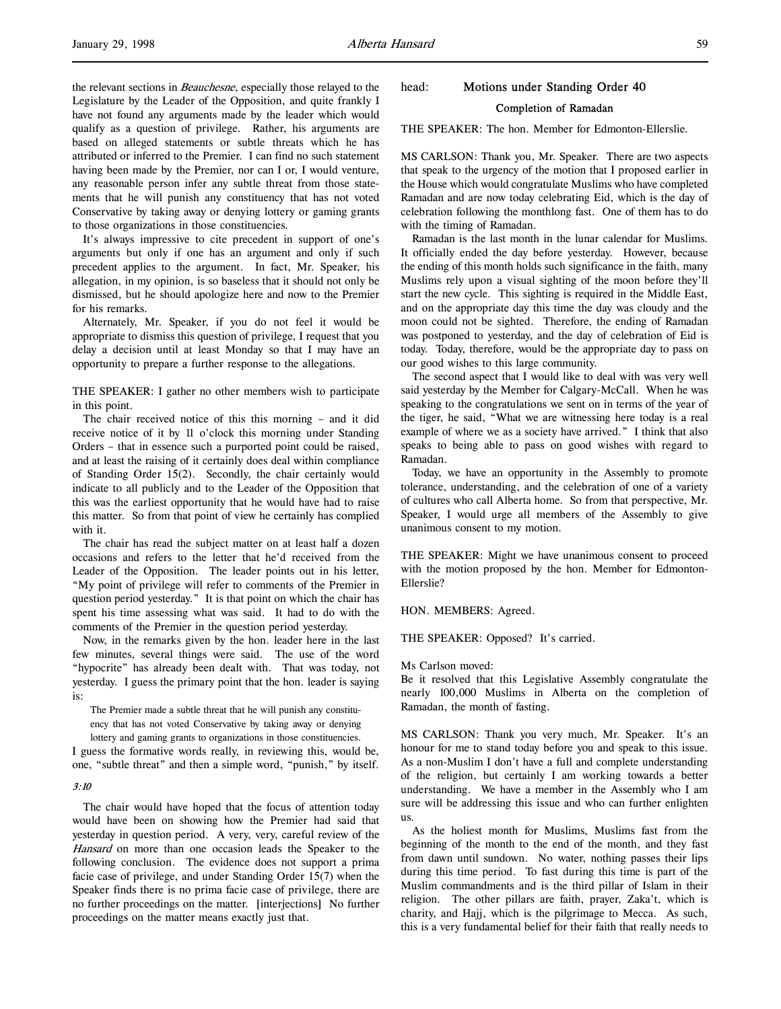the relevant sections in Beauchesne, especially those relayed to the Legislature by the Leader of the Opposition, and quite frankly I have not found any arguments made by the leader which would qualify as a question of privilege. Rather, his arguments are based on alleged statements or subtle threats which he has attributed or inferred to the Premier. I can find no such statement having been made by the Premier, nor can I or, I would venture, any reasonable person infer any subtle threat from those statements that he will punish any constituency that has not voted Conservative by taking away or denying lottery or gaming grants to those organizations in those constituencies.

It's always impressive to cite precedent in support of one's arguments but only if one has an argument and only if such precedent applies to the argument. In fact, Mr. Speaker, his allegation, in my opinion, is so baseless that it should not only be dismissed, but he should apologize here and now to the Premier for his remarks.

Alternately, Mr. Speaker, if you do not feel it would be appropriate to dismiss this question of privilege, I request that you delay a decision until at least Monday so that I may have an opportunity to prepare a further response to the allegations.

THE SPEAKER: I gather no other members wish to participate in this point.

The chair received notice of this this morning – and it did receive notice of it by 11 o'clock this morning under Standing Orders – that in essence such a purported point could be raised, and at least the raising of it certainly does deal within compliance of Standing Order 15(2). Secondly, the chair certainly would indicate to all publicly and to the Leader of the Opposition that this was the earliest opportunity that he would have had to raise this matter. So from that point of view he certainly has complied with it.

The chair has read the subject matter on at least half a dozen occasions and refers to the letter that he'd received from the Leader of the Opposition. The leader points out in his letter, "My point of privilege will refer to comments of the Premier in question period yesterday." It is that point on which the chair has spent his time assessing what was said. It had to do with the comments of the Premier in the question period yesterday.

Now, in the remarks given by the hon. leader here in the last few minutes, several things were said. The use of the word "hypocrite" has already been dealt with. That was today, not yesterday. I guess the primary point that the hon. leader is saying is:

The Premier made a subtle threat that he will punish any constituency that has not voted Conservative by taking away or denying lottery and gaming grants to organizations in those constituencies.

I guess the formative words really, in reviewing this, would be, one, "subtle threat" and then a simple word, "punish," by itself.

### 3:10

The chair would have hoped that the focus of attention today would have been on showing how the Premier had said that yesterday in question period. A very, very, careful review of the Hansard on more than one occasion leads the Speaker to the following conclusion. The evidence does not support a prima facie case of privilege, and under Standing Order 15(7) when the Speaker finds there is no prima facie case of privilege, there are no further proceedings on the matter. [interjections] No further proceedings on the matter means exactly just that.

# head: Motions under Standing Order 40 Completion of Ramadan

THE SPEAKER: The hon. Member for Edmonton-Ellerslie.

MS CARLSON: Thank you, Mr. Speaker. There are two aspects that speak to the urgency of the motion that I proposed earlier in the House which would congratulate Muslims who have completed Ramadan and are now today celebrating Eid, which is the day of celebration following the monthlong fast. One of them has to do with the timing of Ramadan.

Ramadan is the last month in the lunar calendar for Muslims. It officially ended the day before yesterday. However, because the ending of this month holds such significance in the faith, many Muslims rely upon a visual sighting of the moon before they'll start the new cycle. This sighting is required in the Middle East, and on the appropriate day this time the day was cloudy and the moon could not be sighted. Therefore, the ending of Ramadan was postponed to yesterday, and the day of celebration of Eid is today. Today, therefore, would be the appropriate day to pass on our good wishes to this large community.

The second aspect that I would like to deal with was very well said yesterday by the Member for Calgary-McCall. When he was speaking to the congratulations we sent on in terms of the year of the tiger, he said, "What we are witnessing here today is a real example of where we as a society have arrived." I think that also speaks to being able to pass on good wishes with regard to Ramadan.

Today, we have an opportunity in the Assembly to promote tolerance, understanding, and the celebration of one of a variety of cultures who call Alberta home. So from that perspective, Mr. Speaker, I would urge all members of the Assembly to give unanimous consent to my motion.

THE SPEAKER: Might we have unanimous consent to proceed with the motion proposed by the hon. Member for Edmonton-Ellerslie?

HON. MEMBERS: Agreed.

THE SPEAKER: Opposed? It's carried.

#### Ms Carlson moved:

Be it resolved that this Legislative Assembly congratulate the nearly 100,000 Muslims in Alberta on the completion of Ramadan, the month of fasting.

MS CARLSON: Thank you very much, Mr. Speaker. It's an honour for me to stand today before you and speak to this issue. As a non-Muslim I don't have a full and complete understanding of the religion, but certainly I am working towards a better understanding. We have a member in the Assembly who I am sure will be addressing this issue and who can further enlighten us.

As the holiest month for Muslims, Muslims fast from the beginning of the month to the end of the month, and they fast from dawn until sundown. No water, nothing passes their lips during this time period. To fast during this time is part of the Muslim commandments and is the third pillar of Islam in their religion. The other pillars are faith, prayer, Zaka't, which is charity, and Hajj, which is the pilgrimage to Mecca. As such, this is a very fundamental belief for their faith that really needs to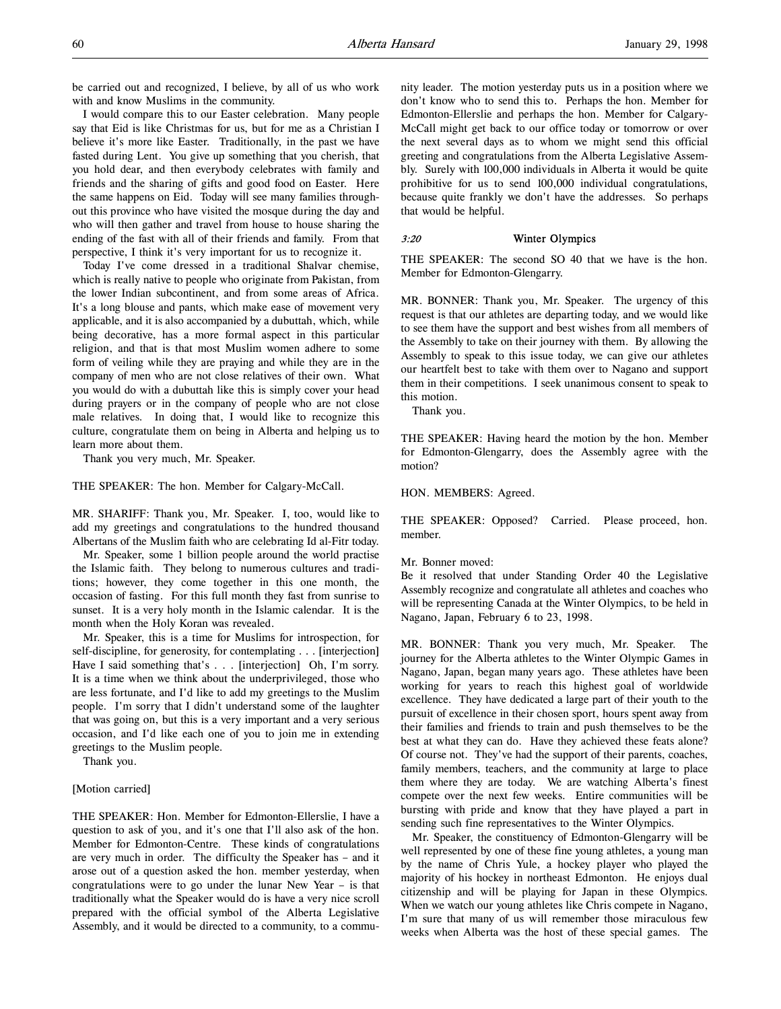be carried out and recognized, I believe, by all of us who work with and know Muslims in the community.

I would compare this to our Easter celebration. Many people say that Eid is like Christmas for us, but for me as a Christian I believe it's more like Easter. Traditionally, in the past we have fasted during Lent. You give up something that you cherish, that you hold dear, and then everybody celebrates with family and friends and the sharing of gifts and good food on Easter. Here the same happens on Eid. Today will see many families throughout this province who have visited the mosque during the day and who will then gather and travel from house to house sharing the ending of the fast with all of their friends and family. From that perspective, I think it's very important for us to recognize it.

Today I've come dressed in a traditional Shalvar chemise, which is really native to people who originate from Pakistan, from the lower Indian subcontinent, and from some areas of Africa. It's a long blouse and pants, which make ease of movement very applicable, and it is also accompanied by a dubuttah, which, while being decorative, has a more formal aspect in this particular religion, and that is that most Muslim women adhere to some form of veiling while they are praying and while they are in the company of men who are not close relatives of their own. What you would do with a dubuttah like this is simply cover your head during prayers or in the company of people who are not close male relatives. In doing that, I would like to recognize this culture, congratulate them on being in Alberta and helping us to learn more about them.

Thank you very much, Mr. Speaker.

THE SPEAKER: The hon. Member for Calgary-McCall.

MR. SHARIFF: Thank you, Mr. Speaker. I, too, would like to add my greetings and congratulations to the hundred thousand Albertans of the Muslim faith who are celebrating Id al-Fitr today.

Mr. Speaker, some 1 billion people around the world practise the Islamic faith. They belong to numerous cultures and traditions; however, they come together in this one month, the occasion of fasting. For this full month they fast from sunrise to sunset. It is a very holy month in the Islamic calendar. It is the month when the Holy Koran was revealed.

Mr. Speaker, this is a time for Muslims for introspection, for self-discipline, for generosity, for contemplating . . . [interjection] Have I said something that's . . . [interjection] Oh, I'm sorry. It is a time when we think about the underprivileged, those who are less fortunate, and I'd like to add my greetings to the Muslim people. I'm sorry that I didn't understand some of the laughter that was going on, but this is a very important and a very serious occasion, and I'd like each one of you to join me in extending greetings to the Muslim people.

Thank you.

#### [Motion carried]

THE SPEAKER: Hon. Member for Edmonton-Ellerslie, I have a question to ask of you, and it's one that I'll also ask of the hon. Member for Edmonton-Centre. These kinds of congratulations are very much in order. The difficulty the Speaker has – and it arose out of a question asked the hon. member yesterday, when congratulations were to go under the lunar New Year – is that traditionally what the Speaker would do is have a very nice scroll prepared with the official symbol of the Alberta Legislative Assembly, and it would be directed to a community, to a community leader. The motion yesterday puts us in a position where we don't know who to send this to. Perhaps the hon. Member for Edmonton-Ellerslie and perhaps the hon. Member for Calgary-McCall might get back to our office today or tomorrow or over the next several days as to whom we might send this official greeting and congratulations from the Alberta Legislative Assembly. Surely with 100,000 individuals in Alberta it would be quite prohibitive for us to send 100,000 individual congratulations, because quite frankly we don't have the addresses. So perhaps that would be helpful.

### 3:20 Winter Olympics

THE SPEAKER: The second SO 40 that we have is the hon. Member for Edmonton-Glengarry.

MR. BONNER: Thank you, Mr. Speaker. The urgency of this request is that our athletes are departing today, and we would like to see them have the support and best wishes from all members of the Assembly to take on their journey with them. By allowing the Assembly to speak to this issue today, we can give our athletes our heartfelt best to take with them over to Nagano and support them in their competitions. I seek unanimous consent to speak to this motion.

Thank you.

THE SPEAKER: Having heard the motion by the hon. Member for Edmonton-Glengarry, does the Assembly agree with the motion?

#### HON. MEMBERS: Agreed.

THE SPEAKER: Opposed? Carried. Please proceed, hon. member.

#### Mr. Bonner moved:

Be it resolved that under Standing Order 40 the Legislative Assembly recognize and congratulate all athletes and coaches who will be representing Canada at the Winter Olympics, to be held in Nagano, Japan, February 6 to 23, 1998.

MR. BONNER: Thank you very much, Mr. Speaker. The journey for the Alberta athletes to the Winter Olympic Games in Nagano, Japan, began many years ago. These athletes have been working for years to reach this highest goal of worldwide excellence. They have dedicated a large part of their youth to the pursuit of excellence in their chosen sport, hours spent away from their families and friends to train and push themselves to be the best at what they can do. Have they achieved these feats alone? Of course not. They've had the support of their parents, coaches, family members, teachers, and the community at large to place them where they are today. We are watching Alberta's finest compete over the next few weeks. Entire communities will be bursting with pride and know that they have played a part in sending such fine representatives to the Winter Olympics.

Mr. Speaker, the constituency of Edmonton-Glengarry will be well represented by one of these fine young athletes, a young man by the name of Chris Yule, a hockey player who played the majority of his hockey in northeast Edmonton. He enjoys dual citizenship and will be playing for Japan in these Olympics. When we watch our young athletes like Chris compete in Nagano, I'm sure that many of us will remember those miraculous few weeks when Alberta was the host of these special games. The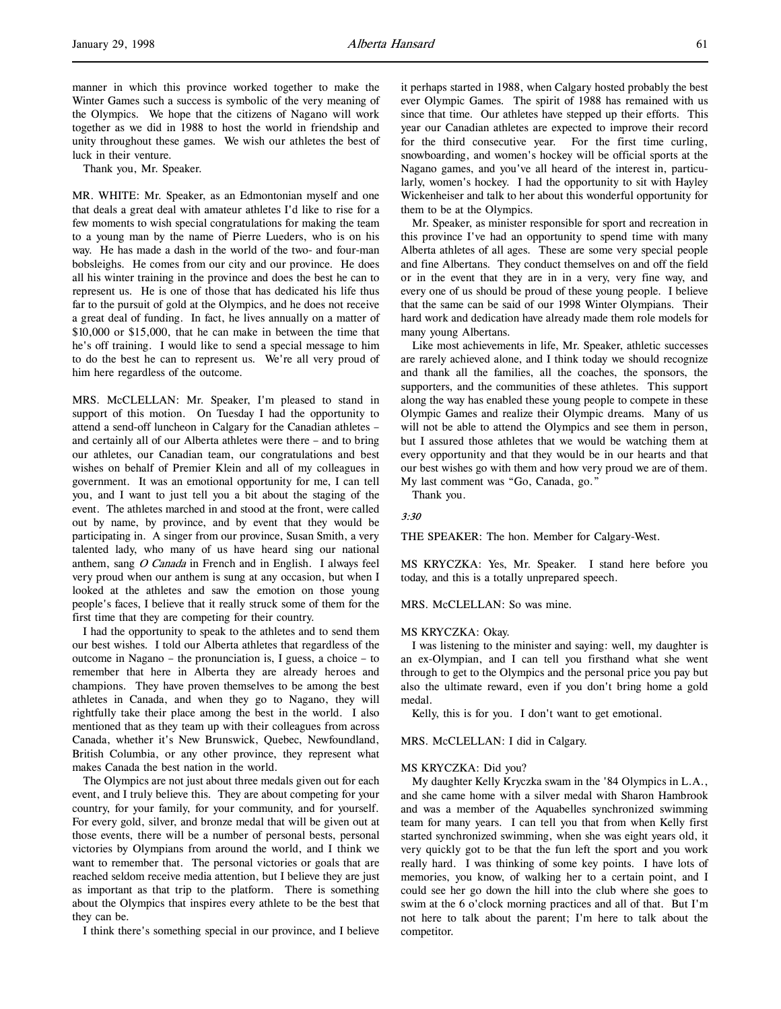manner in which this province worked together to make the Winter Games such a success is symbolic of the very meaning of the Olympics. We hope that the citizens of Nagano will work together as we did in 1988 to host the world in friendship and unity throughout these games. We wish our athletes the best of luck in their venture.

Thank you, Mr. Speaker.

MR. WHITE: Mr. Speaker, as an Edmontonian myself and one that deals a great deal with amateur athletes I'd like to rise for a few moments to wish special congratulations for making the team to a young man by the name of Pierre Lueders, who is on his way. He has made a dash in the world of the two- and four-man bobsleighs. He comes from our city and our province. He does all his winter training in the province and does the best he can to represent us. He is one of those that has dedicated his life thus far to the pursuit of gold at the Olympics, and he does not receive a great deal of funding. In fact, he lives annually on a matter of \$10,000 or \$15,000, that he can make in between the time that he's off training. I would like to send a special message to him to do the best he can to represent us. We're all very proud of him here regardless of the outcome.

MRS. McCLELLAN: Mr. Speaker, I'm pleased to stand in support of this motion. On Tuesday I had the opportunity to attend a send-off luncheon in Calgary for the Canadian athletes – and certainly all of our Alberta athletes were there – and to bring our athletes, our Canadian team, our congratulations and best wishes on behalf of Premier Klein and all of my colleagues in government. It was an emotional opportunity for me, I can tell you, and I want to just tell you a bit about the staging of the event. The athletes marched in and stood at the front, were called out by name, by province, and by event that they would be participating in. A singer from our province, Susan Smith, a very talented lady, who many of us have heard sing our national anthem, sang O Canada in French and in English. I always feel very proud when our anthem is sung at any occasion, but when I looked at the athletes and saw the emotion on those young people's faces, I believe that it really struck some of them for the first time that they are competing for their country.

I had the opportunity to speak to the athletes and to send them our best wishes. I told our Alberta athletes that regardless of the outcome in Nagano – the pronunciation is, I guess, a choice – to remember that here in Alberta they are already heroes and champions. They have proven themselves to be among the best athletes in Canada, and when they go to Nagano, they will rightfully take their place among the best in the world. I also mentioned that as they team up with their colleagues from across Canada, whether it's New Brunswick, Quebec, Newfoundland, British Columbia, or any other province, they represent what makes Canada the best nation in the world.

The Olympics are not just about three medals given out for each event, and I truly believe this. They are about competing for your country, for your family, for your community, and for yourself. For every gold, silver, and bronze medal that will be given out at those events, there will be a number of personal bests, personal victories by Olympians from around the world, and I think we want to remember that. The personal victories or goals that are reached seldom receive media attention, but I believe they are just as important as that trip to the platform. There is something about the Olympics that inspires every athlete to be the best that they can be.

I think there's something special in our province, and I believe

it perhaps started in 1988, when Calgary hosted probably the best ever Olympic Games. The spirit of 1988 has remained with us since that time. Our athletes have stepped up their efforts. This year our Canadian athletes are expected to improve their record for the third consecutive year. For the first time curling, snowboarding, and women's hockey will be official sports at the Nagano games, and you've all heard of the interest in, particularly, women's hockey. I had the opportunity to sit with Hayley Wickenheiser and talk to her about this wonderful opportunity for them to be at the Olympics.

Mr. Speaker, as minister responsible for sport and recreation in this province I've had an opportunity to spend time with many Alberta athletes of all ages. These are some very special people and fine Albertans. They conduct themselves on and off the field or in the event that they are in in a very, very fine way, and every one of us should be proud of these young people. I believe that the same can be said of our 1998 Winter Olympians. Their hard work and dedication have already made them role models for many young Albertans.

Like most achievements in life, Mr. Speaker, athletic successes are rarely achieved alone, and I think today we should recognize and thank all the families, all the coaches, the sponsors, the supporters, and the communities of these athletes. This support along the way has enabled these young people to compete in these Olympic Games and realize their Olympic dreams. Many of us will not be able to attend the Olympics and see them in person, but I assured those athletes that we would be watching them at every opportunity and that they would be in our hearts and that our best wishes go with them and how very proud we are of them. My last comment was "Go, Canada, go."

Thank you.

### 3:30

THE SPEAKER: The hon. Member for Calgary-West.

MS KRYCZKA: Yes, Mr. Speaker. I stand here before you today, and this is a totally unprepared speech.

MRS. McCLELLAN: So was mine.

#### MS KRYCZKA: Okay.

I was listening to the minister and saying: well, my daughter is an ex-Olympian, and I can tell you firsthand what she went through to get to the Olympics and the personal price you pay but also the ultimate reward, even if you don't bring home a gold medal.

Kelly, this is for you. I don't want to get emotional.

MRS. McCLELLAN: I did in Calgary.

#### MS KRYCZKA: Did you?

My daughter Kelly Kryczka swam in the '84 Olympics in L.A., and she came home with a silver medal with Sharon Hambrook and was a member of the Aquabelles synchronized swimming team for many years. I can tell you that from when Kelly first started synchronized swimming, when she was eight years old, it very quickly got to be that the fun left the sport and you work really hard. I was thinking of some key points. I have lots of memories, you know, of walking her to a certain point, and I could see her go down the hill into the club where she goes to swim at the 6 o'clock morning practices and all of that. But I'm not here to talk about the parent; I'm here to talk about the competitor.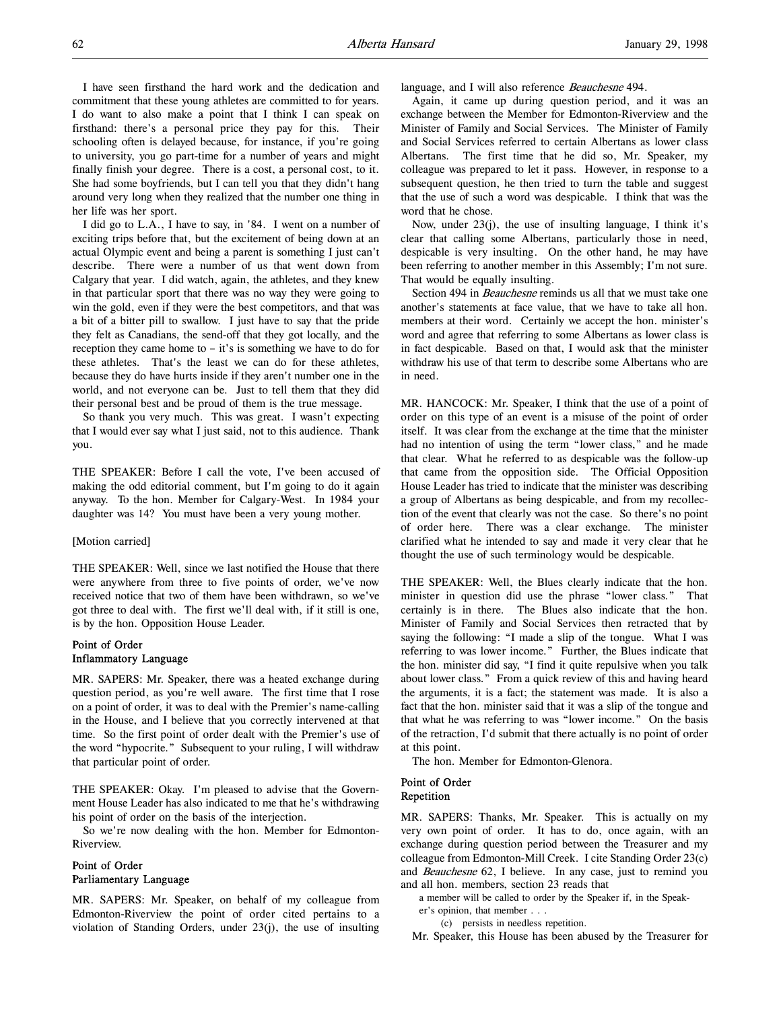I have seen firsthand the hard work and the dedication and commitment that these young athletes are committed to for years. I do want to also make a point that I think I can speak on firsthand: there's a personal price they pay for this. Their schooling often is delayed because, for instance, if you're going to university, you go part-time for a number of years and might finally finish your degree. There is a cost, a personal cost, to it. She had some boyfriends, but I can tell you that they didn't hang around very long when they realized that the number one thing in her life was her sport.

I did go to L.A., I have to say, in '84. I went on a number of exciting trips before that, but the excitement of being down at an actual Olympic event and being a parent is something I just can't describe. There were a number of us that went down from Calgary that year. I did watch, again, the athletes, and they knew in that particular sport that there was no way they were going to win the gold, even if they were the best competitors, and that was a bit of a bitter pill to swallow. I just have to say that the pride they felt as Canadians, the send-off that they got locally, and the reception they came home to – it's is something we have to do for these athletes. That's the least we can do for these athletes, because they do have hurts inside if they aren't number one in the world, and not everyone can be. Just to tell them that they did their personal best and be proud of them is the true message.

So thank you very much. This was great. I wasn't expecting that I would ever say what I just said, not to this audience. Thank you.

THE SPEAKER: Before I call the vote, I've been accused of making the odd editorial comment, but I'm going to do it again anyway. To the hon. Member for Calgary-West. In 1984 your daughter was 14? You must have been a very young mother.

#### [Motion carried]

THE SPEAKER: Well, since we last notified the House that there were anywhere from three to five points of order, we've now received notice that two of them have been withdrawn, so we've got three to deal with. The first we'll deal with, if it still is one, is by the hon. Opposition House Leader.

# Point of Order Inflammatory Language

MR. SAPERS: Mr. Speaker, there was a heated exchange during question period, as you're well aware. The first time that I rose on a point of order, it was to deal with the Premier's name-calling in the House, and I believe that you correctly intervened at that time. So the first point of order dealt with the Premier's use of the word "hypocrite." Subsequent to your ruling, I will withdraw that particular point of order.

THE SPEAKER: Okay. I'm pleased to advise that the Government House Leader has also indicated to me that he's withdrawing his point of order on the basis of the interjection.

So we're now dealing with the hon. Member for Edmonton-Riverview.

# Point of Order Parliamentary Language

MR. SAPERS: Mr. Speaker, on behalf of my colleague from Edmonton-Riverview the point of order cited pertains to a violation of Standing Orders, under 23(j), the use of insulting

language, and I will also reference Beauchesne 494.

Again, it came up during question period, and it was an exchange between the Member for Edmonton-Riverview and the Minister of Family and Social Services. The Minister of Family and Social Services referred to certain Albertans as lower class Albertans. The first time that he did so, Mr. Speaker, my colleague was prepared to let it pass. However, in response to a subsequent question, he then tried to turn the table and suggest that the use of such a word was despicable. I think that was the word that he chose.

Now, under 23(j), the use of insulting language, I think it's clear that calling some Albertans, particularly those in need, despicable is very insulting. On the other hand, he may have been referring to another member in this Assembly; I'm not sure. That would be equally insulting.

Section 494 in *Beauchesne* reminds us all that we must take one another's statements at face value, that we have to take all hon. members at their word. Certainly we accept the hon. minister's word and agree that referring to some Albertans as lower class is in fact despicable. Based on that, I would ask that the minister withdraw his use of that term to describe some Albertans who are in need.

MR. HANCOCK: Mr. Speaker, I think that the use of a point of order on this type of an event is a misuse of the point of order itself. It was clear from the exchange at the time that the minister had no intention of using the term "lower class," and he made that clear. What he referred to as despicable was the follow-up that came from the opposition side. The Official Opposition House Leader has tried to indicate that the minister was describing a group of Albertans as being despicable, and from my recollection of the event that clearly was not the case. So there's no point of order here. There was a clear exchange. The minister clarified what he intended to say and made it very clear that he thought the use of such terminology would be despicable.

THE SPEAKER: Well, the Blues clearly indicate that the hon. minister in question did use the phrase "lower class." That certainly is in there. The Blues also indicate that the hon. Minister of Family and Social Services then retracted that by saying the following: "I made a slip of the tongue. What I was referring to was lower income." Further, the Blues indicate that the hon. minister did say, "I find it quite repulsive when you talk about lower class." From a quick review of this and having heard the arguments, it is a fact; the statement was made. It is also a fact that the hon. minister said that it was a slip of the tongue and that what he was referring to was "lower income." On the basis of the retraction, I'd submit that there actually is no point of order at this point.

The hon. Member for Edmonton-Glenora.

# Point of Order Repetition

MR. SAPERS: Thanks, Mr. Speaker. This is actually on my very own point of order. It has to do, once again, with an exchange during question period between the Treasurer and my colleague from Edmonton-Mill Creek. I cite Standing Order 23(c) and Beauchesne 62, I believe. In any case, just to remind you and all hon. members, section 23 reads that

a member will be called to order by the Speaker if, in the Speak-

er's opinion, that member . . .

(c) persists in needless repetition.

Mr. Speaker, this House has been abused by the Treasurer for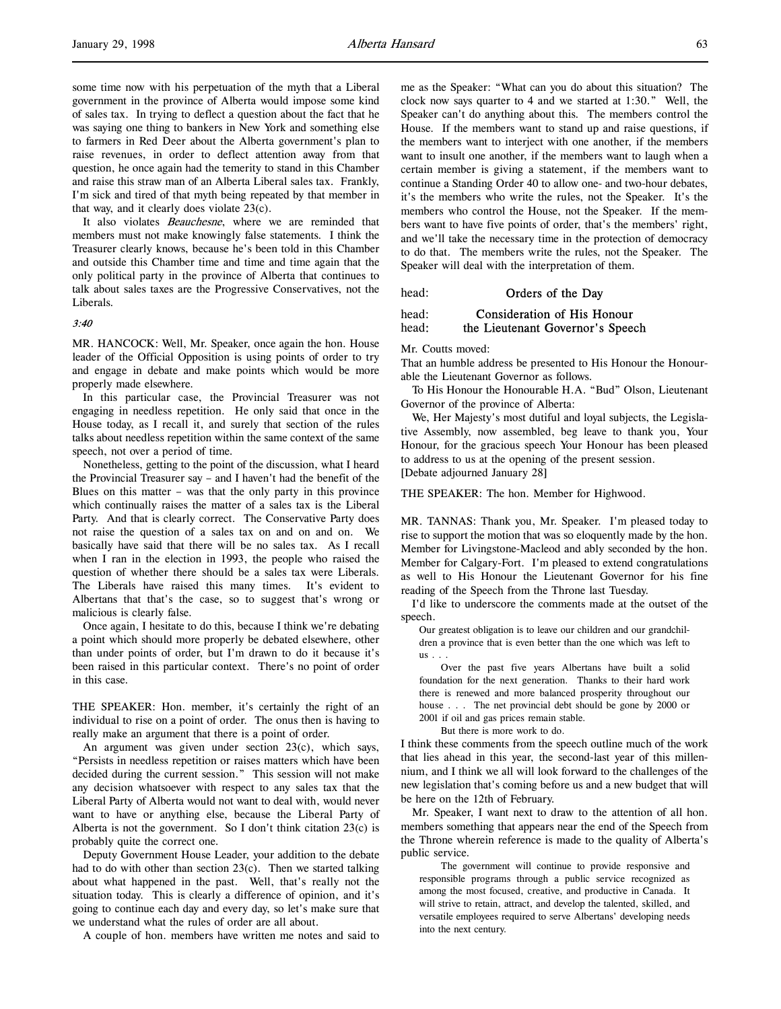some time now with his perpetuation of the myth that a Liberal government in the province of Alberta would impose some kind of sales tax. In trying to deflect a question about the fact that he was saying one thing to bankers in New York and something else to farmers in Red Deer about the Alberta government's plan to raise revenues, in order to deflect attention away from that question, he once again had the temerity to stand in this Chamber and raise this straw man of an Alberta Liberal sales tax. Frankly, I'm sick and tired of that myth being repeated by that member in that way, and it clearly does violate 23(c).

It also violates *Beauchesne*, where we are reminded that members must not make knowingly false statements. I think the Treasurer clearly knows, because he's been told in this Chamber and outside this Chamber time and time and time again that the only political party in the province of Alberta that continues to talk about sales taxes are the Progressive Conservatives, not the Liberals.

# 3:40

MR. HANCOCK: Well, Mr. Speaker, once again the hon. House leader of the Official Opposition is using points of order to try and engage in debate and make points which would be more properly made elsewhere.

In this particular case, the Provincial Treasurer was not engaging in needless repetition. He only said that once in the House today, as I recall it, and surely that section of the rules talks about needless repetition within the same context of the same speech, not over a period of time.

Nonetheless, getting to the point of the discussion, what I heard the Provincial Treasurer say – and I haven't had the benefit of the Blues on this matter – was that the only party in this province which continually raises the matter of a sales tax is the Liberal Party. And that is clearly correct. The Conservative Party does not raise the question of a sales tax on and on and on. We basically have said that there will be no sales tax. As I recall when I ran in the election in 1993, the people who raised the question of whether there should be a sales tax were Liberals. The Liberals have raised this many times. It's evident to Albertans that that's the case, so to suggest that's wrong or malicious is clearly false.

Once again, I hesitate to do this, because I think we're debating a point which should more properly be debated elsewhere, other than under points of order, but I'm drawn to do it because it's been raised in this particular context. There's no point of order in this case.

THE SPEAKER: Hon. member, it's certainly the right of an individual to rise on a point of order. The onus then is having to really make an argument that there is a point of order.

An argument was given under section 23(c), which says, "Persists in needless repetition or raises matters which have been decided during the current session." This session will not make any decision whatsoever with respect to any sales tax that the Liberal Party of Alberta would not want to deal with, would never want to have or anything else, because the Liberal Party of Alberta is not the government. So I don't think citation 23(c) is probably quite the correct one.

Deputy Government House Leader, your addition to the debate had to do with other than section 23(c). Then we started talking about what happened in the past. Well, that's really not the situation today. This is clearly a difference of opinion, and it's going to continue each day and every day, so let's make sure that we understand what the rules of order are all about.

A couple of hon. members have written me notes and said to

me as the Speaker: "What can you do about this situation? The clock now says quarter to 4 and we started at 1:30." Well, the Speaker can't do anything about this. The members control the House. If the members want to stand up and raise questions, if the members want to interject with one another, if the members want to insult one another, if the members want to laugh when a certain member is giving a statement, if the members want to continue a Standing Order 40 to allow one- and two-hour debates, it's the members who write the rules, not the Speaker. It's the members who control the House, not the Speaker. If the members want to have five points of order, that's the members' right, and we'll take the necessary time in the protection of democracy to do that. The members write the rules, not the Speaker. The Speaker will deal with the interpretation of them.

head: **Orders of the Day** 

# head: Consideration of His Honour head: the Lieutenant Governor's Speech

Mr. Coutts moved:

That an humble address be presented to His Honour the Honourable the Lieutenant Governor as follows.

To His Honour the Honourable H.A. "Bud" Olson, Lieutenant Governor of the province of Alberta:

We, Her Majesty's most dutiful and loyal subjects, the Legislative Assembly, now assembled, beg leave to thank you, Your Honour, for the gracious speech Your Honour has been pleased to address to us at the opening of the present session. [Debate adjourned January 28]

THE SPEAKER: The hon. Member for Highwood.

MR. TANNAS: Thank you, Mr. Speaker. I'm pleased today to rise to support the motion that was so eloquently made by the hon. Member for Livingstone-Macleod and ably seconded by the hon. Member for Calgary-Fort. I'm pleased to extend congratulations as well to His Honour the Lieutenant Governor for his fine reading of the Speech from the Throne last Tuesday.

I'd like to underscore the comments made at the outset of the speech.

Our greatest obligation is to leave our children and our grandchildren a province that is even better than the one which was left to  $us \ldots$ 

Over the past five years Albertans have built a solid foundation for the next generation. Thanks to their hard work there is renewed and more balanced prosperity throughout our house . . . The net provincial debt should be gone by 2000 or 2001 if oil and gas prices remain stable.

But there is more work to do.

I think these comments from the speech outline much of the work that lies ahead in this year, the second-last year of this millennium, and I think we all will look forward to the challenges of the new legislation that's coming before us and a new budget that will be here on the 12th of February.

Mr. Speaker, I want next to draw to the attention of all hon. members something that appears near the end of the Speech from the Throne wherein reference is made to the quality of Alberta's public service.

The government will continue to provide responsive and responsible programs through a public service recognized as among the most focused, creative, and productive in Canada. It will strive to retain, attract, and develop the talented, skilled, and versatile employees required to serve Albertans' developing needs into the next century.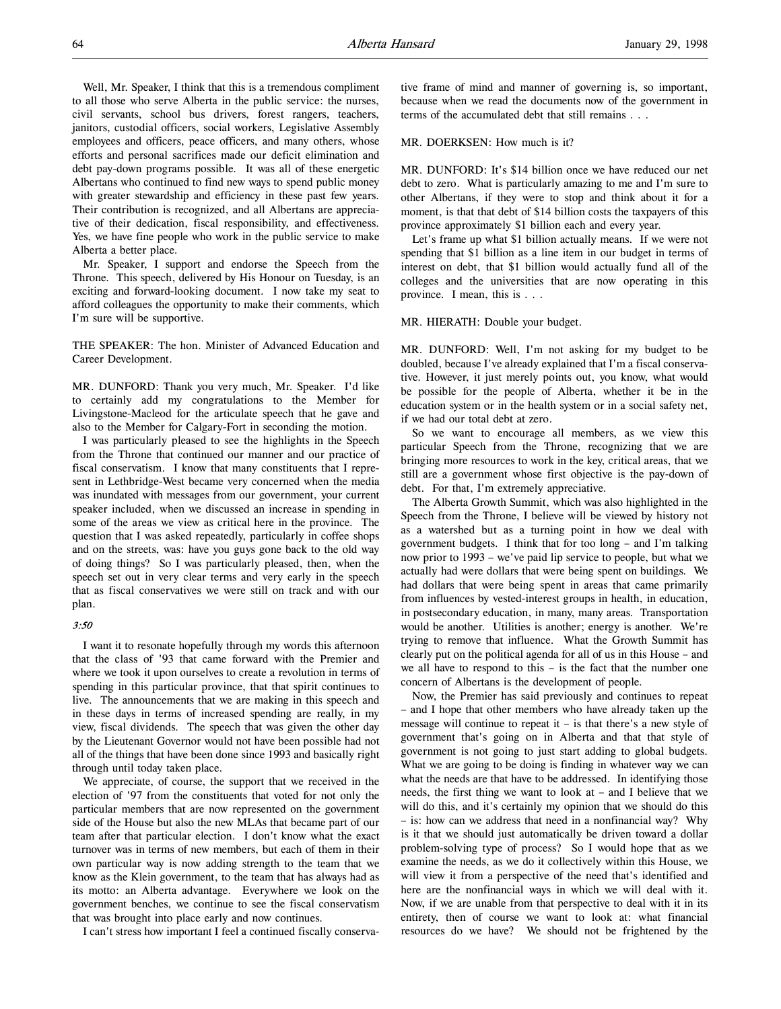Well, Mr. Speaker, I think that this is a tremendous compliment to all those who serve Alberta in the public service: the nurses, civil servants, school bus drivers, forest rangers, teachers, janitors, custodial officers, social workers, Legislative Assembly employees and officers, peace officers, and many others, whose efforts and personal sacrifices made our deficit elimination and debt pay-down programs possible. It was all of these energetic Albertans who continued to find new ways to spend public money with greater stewardship and efficiency in these past few years. Their contribution is recognized, and all Albertans are appreciative of their dedication, fiscal responsibility, and effectiveness. Yes, we have fine people who work in the public service to make Alberta a better place.

Mr. Speaker, I support and endorse the Speech from the Throne. This speech, delivered by His Honour on Tuesday, is an exciting and forward-looking document. I now take my seat to afford colleagues the opportunity to make their comments, which I'm sure will be supportive.

THE SPEAKER: The hon. Minister of Advanced Education and Career Development.

MR. DUNFORD: Thank you very much, Mr. Speaker. I'd like to certainly add my congratulations to the Member for Livingstone-Macleod for the articulate speech that he gave and also to the Member for Calgary-Fort in seconding the motion.

I was particularly pleased to see the highlights in the Speech from the Throne that continued our manner and our practice of fiscal conservatism. I know that many constituents that I represent in Lethbridge-West became very concerned when the media was inundated with messages from our government, your current speaker included, when we discussed an increase in spending in some of the areas we view as critical here in the province. The question that I was asked repeatedly, particularly in coffee shops and on the streets, was: have you guys gone back to the old way of doing things? So I was particularly pleased, then, when the speech set out in very clear terms and very early in the speech that as fiscal conservatives we were still on track and with our plan.

#### 3:50

I want it to resonate hopefully through my words this afternoon that the class of '93 that came forward with the Premier and where we took it upon ourselves to create a revolution in terms of spending in this particular province, that that spirit continues to live. The announcements that we are making in this speech and in these days in terms of increased spending are really, in my view, fiscal dividends. The speech that was given the other day by the Lieutenant Governor would not have been possible had not all of the things that have been done since 1993 and basically right through until today taken place.

We appreciate, of course, the support that we received in the election of '97 from the constituents that voted for not only the particular members that are now represented on the government side of the House but also the new MLAs that became part of our team after that particular election. I don't know what the exact turnover was in terms of new members, but each of them in their own particular way is now adding strength to the team that we know as the Klein government, to the team that has always had as its motto: an Alberta advantage. Everywhere we look on the government benches, we continue to see the fiscal conservatism that was brought into place early and now continues.

I can't stress how important I feel a continued fiscally conserva-

tive frame of mind and manner of governing is, so important, because when we read the documents now of the government in terms of the accumulated debt that still remains . . .

### MR. DOERKSEN: How much is it?

MR. DUNFORD: It's \$14 billion once we have reduced our net debt to zero. What is particularly amazing to me and I'm sure to other Albertans, if they were to stop and think about it for a moment, is that that debt of \$14 billion costs the taxpayers of this province approximately \$1 billion each and every year.

Let's frame up what \$1 billion actually means. If we were not spending that \$1 billion as a line item in our budget in terms of interest on debt, that \$1 billion would actually fund all of the colleges and the universities that are now operating in this province. I mean, this is . . .

#### MR. HIERATH: Double your budget.

MR. DUNFORD: Well, I'm not asking for my budget to be doubled, because I've already explained that I'm a fiscal conservative. However, it just merely points out, you know, what would be possible for the people of Alberta, whether it be in the education system or in the health system or in a social safety net, if we had our total debt at zero.

So we want to encourage all members, as we view this particular Speech from the Throne, recognizing that we are bringing more resources to work in the key, critical areas, that we still are a government whose first objective is the pay-down of debt. For that, I'm extremely appreciative.

The Alberta Growth Summit, which was also highlighted in the Speech from the Throne, I believe will be viewed by history not as a watershed but as a turning point in how we deal with government budgets. I think that for too long – and I'm talking now prior to 1993 – we've paid lip service to people, but what we actually had were dollars that were being spent on buildings. We had dollars that were being spent in areas that came primarily from influences by vested-interest groups in health, in education, in postsecondary education, in many, many areas. Transportation would be another. Utilities is another; energy is another. We're trying to remove that influence. What the Growth Summit has clearly put on the political agenda for all of us in this House – and we all have to respond to this – is the fact that the number one concern of Albertans is the development of people.

Now, the Premier has said previously and continues to repeat – and I hope that other members who have already taken up the message will continue to repeat it  $-$  is that there's a new style of government that's going on in Alberta and that that style of government is not going to just start adding to global budgets. What we are going to be doing is finding in whatever way we can what the needs are that have to be addressed. In identifying those needs, the first thing we want to look at – and I believe that we will do this, and it's certainly my opinion that we should do this – is: how can we address that need in a nonfinancial way? Why is it that we should just automatically be driven toward a dollar problem-solving type of process? So I would hope that as we examine the needs, as we do it collectively within this House, we will view it from a perspective of the need that's identified and here are the nonfinancial ways in which we will deal with it. Now, if we are unable from that perspective to deal with it in its entirety, then of course we want to look at: what financial resources do we have? We should not be frightened by the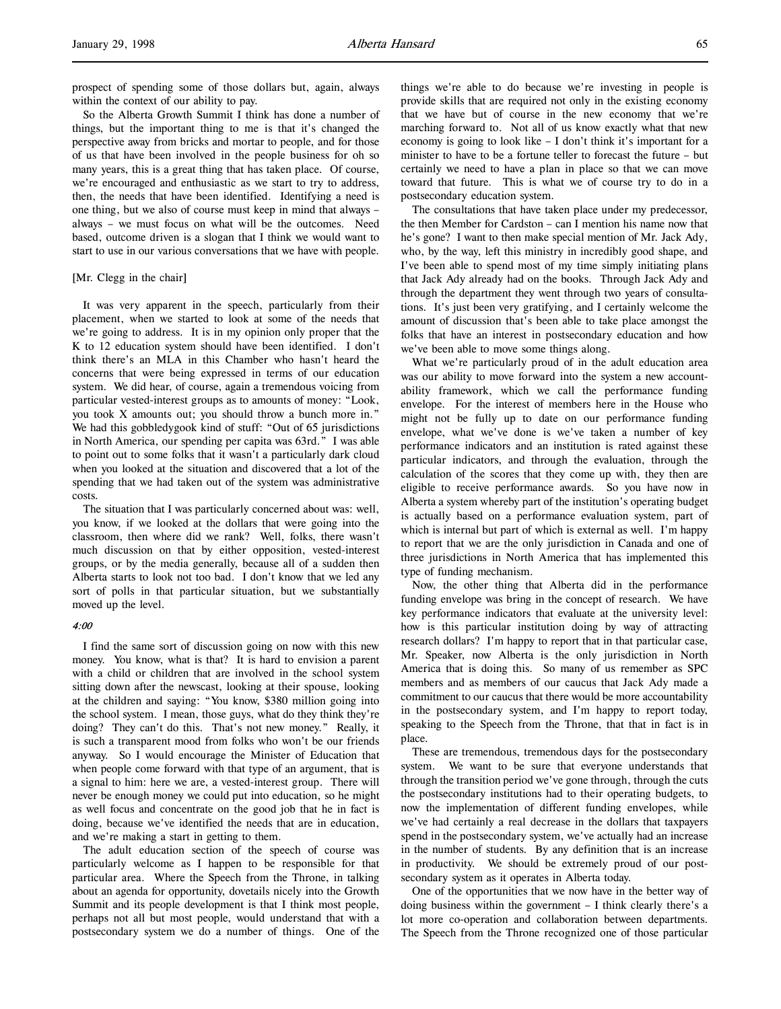prospect of spending some of those dollars but, again, always within the context of our ability to pay.

So the Alberta Growth Summit I think has done a number of things, but the important thing to me is that it's changed the perspective away from bricks and mortar to people, and for those of us that have been involved in the people business for oh so many years, this is a great thing that has taken place. Of course, we're encouraged and enthusiastic as we start to try to address, then, the needs that have been identified. Identifying a need is one thing, but we also of course must keep in mind that always – always – we must focus on what will be the outcomes. Need based, outcome driven is a slogan that I think we would want to start to use in our various conversations that we have with people.

# [Mr. Clegg in the chair]

It was very apparent in the speech, particularly from their placement, when we started to look at some of the needs that we're going to address. It is in my opinion only proper that the K to 12 education system should have been identified. I don't think there's an MLA in this Chamber who hasn't heard the concerns that were being expressed in terms of our education system. We did hear, of course, again a tremendous voicing from particular vested-interest groups as to amounts of money: "Look, you took X amounts out; you should throw a bunch more in." We had this gobbledygook kind of stuff: "Out of 65 jurisdictions in North America, our spending per capita was 63rd." I was able to point out to some folks that it wasn't a particularly dark cloud when you looked at the situation and discovered that a lot of the spending that we had taken out of the system was administrative costs.

The situation that I was particularly concerned about was: well, you know, if we looked at the dollars that were going into the classroom, then where did we rank? Well, folks, there wasn't much discussion on that by either opposition, vested-interest groups, or by the media generally, because all of a sudden then Alberta starts to look not too bad. I don't know that we led any sort of polls in that particular situation, but we substantially moved up the level.

#### 4:00

I find the same sort of discussion going on now with this new money. You know, what is that? It is hard to envision a parent with a child or children that are involved in the school system sitting down after the newscast, looking at their spouse, looking at the children and saying: "You know, \$380 million going into the school system. I mean, those guys, what do they think they're doing? They can't do this. That's not new money." Really, it is such a transparent mood from folks who won't be our friends anyway. So I would encourage the Minister of Education that when people come forward with that type of an argument, that is a signal to him: here we are, a vested-interest group. There will never be enough money we could put into education, so he might as well focus and concentrate on the good job that he in fact is doing, because we've identified the needs that are in education, and we're making a start in getting to them.

The adult education section of the speech of course was particularly welcome as I happen to be responsible for that particular area. Where the Speech from the Throne, in talking about an agenda for opportunity, dovetails nicely into the Growth Summit and its people development is that I think most people, perhaps not all but most people, would understand that with a postsecondary system we do a number of things. One of the

things we're able to do because we're investing in people is provide skills that are required not only in the existing economy that we have but of course in the new economy that we're marching forward to. Not all of us know exactly what that new economy is going to look like – I don't think it's important for a minister to have to be a fortune teller to forecast the future – but certainly we need to have a plan in place so that we can move toward that future. This is what we of course try to do in a postsecondary education system.

The consultations that have taken place under my predecessor, the then Member for Cardston – can I mention his name now that he's gone? I want to then make special mention of Mr. Jack Ady, who, by the way, left this ministry in incredibly good shape, and I've been able to spend most of my time simply initiating plans that Jack Ady already had on the books. Through Jack Ady and through the department they went through two years of consultations. It's just been very gratifying, and I certainly welcome the amount of discussion that's been able to take place amongst the folks that have an interest in postsecondary education and how we've been able to move some things along.

What we're particularly proud of in the adult education area was our ability to move forward into the system a new accountability framework, which we call the performance funding envelope. For the interest of members here in the House who might not be fully up to date on our performance funding envelope, what we've done is we've taken a number of key performance indicators and an institution is rated against these particular indicators, and through the evaluation, through the calculation of the scores that they come up with, they then are eligible to receive performance awards. So you have now in Alberta a system whereby part of the institution's operating budget is actually based on a performance evaluation system, part of which is internal but part of which is external as well. I'm happy to report that we are the only jurisdiction in Canada and one of three jurisdictions in North America that has implemented this type of funding mechanism.

Now, the other thing that Alberta did in the performance funding envelope was bring in the concept of research. We have key performance indicators that evaluate at the university level: how is this particular institution doing by way of attracting research dollars? I'm happy to report that in that particular case, Mr. Speaker, now Alberta is the only jurisdiction in North America that is doing this. So many of us remember as SPC members and as members of our caucus that Jack Ady made a commitment to our caucus that there would be more accountability in the postsecondary system, and I'm happy to report today, speaking to the Speech from the Throne, that that in fact is in place.

These are tremendous, tremendous days for the postsecondary system. We want to be sure that everyone understands that through the transition period we've gone through, through the cuts the postsecondary institutions had to their operating budgets, to now the implementation of different funding envelopes, while we've had certainly a real decrease in the dollars that taxpayers spend in the postsecondary system, we've actually had an increase in the number of students. By any definition that is an increase in productivity. We should be extremely proud of our postsecondary system as it operates in Alberta today.

One of the opportunities that we now have in the better way of doing business within the government – I think clearly there's a lot more co-operation and collaboration between departments. The Speech from the Throne recognized one of those particular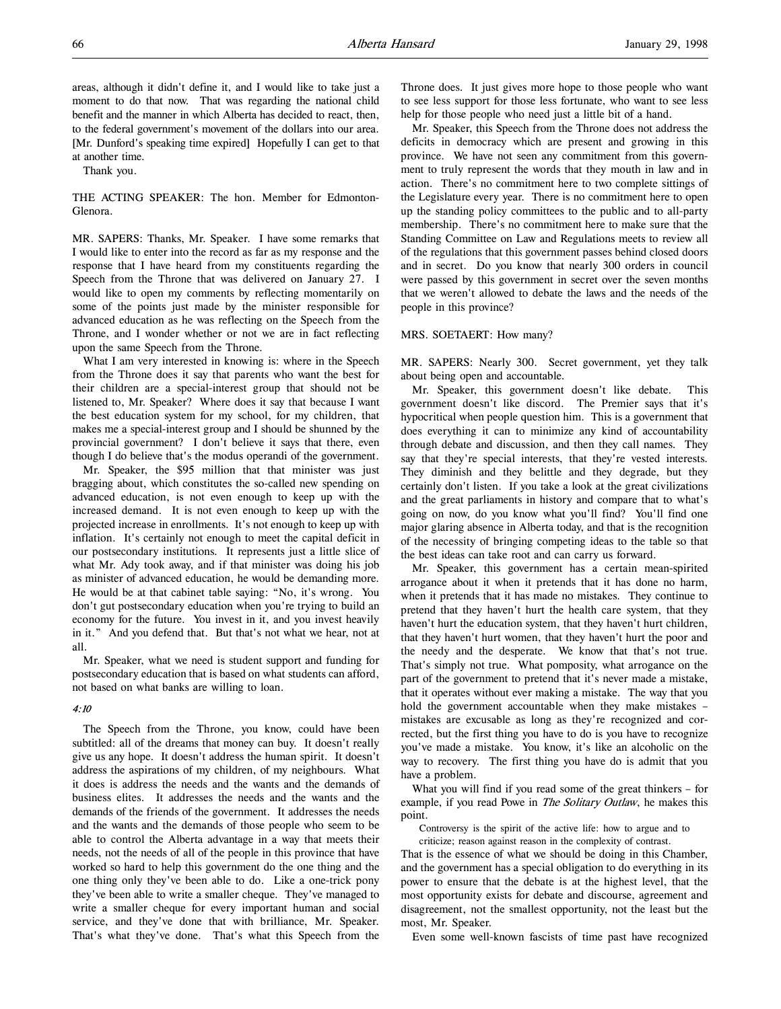areas, although it didn't define it, and I would like to take just a moment to do that now. That was regarding the national child benefit and the manner in which Alberta has decided to react, then, to the federal government's movement of the dollars into our area. [Mr. Dunford's speaking time expired] Hopefully I can get to that at another time.

Thank you.

THE ACTING SPEAKER: The hon. Member for Edmonton-Glenora.

MR. SAPERS: Thanks, Mr. Speaker. I have some remarks that I would like to enter into the record as far as my response and the response that I have heard from my constituents regarding the Speech from the Throne that was delivered on January 27. I would like to open my comments by reflecting momentarily on some of the points just made by the minister responsible for advanced education as he was reflecting on the Speech from the Throne, and I wonder whether or not we are in fact reflecting upon the same Speech from the Throne.

What I am very interested in knowing is: where in the Speech from the Throne does it say that parents who want the best for their children are a special-interest group that should not be listened to, Mr. Speaker? Where does it say that because I want the best education system for my school, for my children, that makes me a special-interest group and I should be shunned by the provincial government? I don't believe it says that there, even though I do believe that's the modus operandi of the government.

Mr. Speaker, the \$95 million that that minister was just bragging about, which constitutes the so-called new spending on advanced education, is not even enough to keep up with the increased demand. It is not even enough to keep up with the projected increase in enrollments. It's not enough to keep up with inflation. It's certainly not enough to meet the capital deficit in our postsecondary institutions. It represents just a little slice of what Mr. Ady took away, and if that minister was doing his job as minister of advanced education, he would be demanding more. He would be at that cabinet table saying: "No, it's wrong. You don't gut postsecondary education when you're trying to build an economy for the future. You invest in it, and you invest heavily in it." And you defend that. But that's not what we hear, not at all.

Mr. Speaker, what we need is student support and funding for postsecondary education that is based on what students can afford, not based on what banks are willing to loan.

#### 4:10

The Speech from the Throne, you know, could have been subtitled: all of the dreams that money can buy. It doesn't really give us any hope. It doesn't address the human spirit. It doesn't address the aspirations of my children, of my neighbours. What it does is address the needs and the wants and the demands of business elites. It addresses the needs and the wants and the demands of the friends of the government. It addresses the needs and the wants and the demands of those people who seem to be able to control the Alberta advantage in a way that meets their needs, not the needs of all of the people in this province that have worked so hard to help this government do the one thing and the one thing only they've been able to do. Like a one-trick pony they've been able to write a smaller cheque. They've managed to write a smaller cheque for every important human and social service, and they've done that with brilliance, Mr. Speaker. That's what they've done. That's what this Speech from the

Throne does. It just gives more hope to those people who want to see less support for those less fortunate, who want to see less help for those people who need just a little bit of a hand.

Mr. Speaker, this Speech from the Throne does not address the deficits in democracy which are present and growing in this province. We have not seen any commitment from this government to truly represent the words that they mouth in law and in action. There's no commitment here to two complete sittings of the Legislature every year. There is no commitment here to open up the standing policy committees to the public and to all-party membership. There's no commitment here to make sure that the Standing Committee on Law and Regulations meets to review all of the regulations that this government passes behind closed doors and in secret. Do you know that nearly 300 orders in council were passed by this government in secret over the seven months that we weren't allowed to debate the laws and the needs of the people in this province?

#### MRS. SOETAERT: How many?

MR. SAPERS: Nearly 300. Secret government, yet they talk about being open and accountable.

Mr. Speaker, this government doesn't like debate. This government doesn't like discord. The Premier says that it's hypocritical when people question him. This is a government that does everything it can to minimize any kind of accountability through debate and discussion, and then they call names. They say that they're special interests, that they're vested interests. They diminish and they belittle and they degrade, but they certainly don't listen. If you take a look at the great civilizations and the great parliaments in history and compare that to what's going on now, do you know what you'll find? You'll find one major glaring absence in Alberta today, and that is the recognition of the necessity of bringing competing ideas to the table so that the best ideas can take root and can carry us forward.

Mr. Speaker, this government has a certain mean-spirited arrogance about it when it pretends that it has done no harm, when it pretends that it has made no mistakes. They continue to pretend that they haven't hurt the health care system, that they haven't hurt the education system, that they haven't hurt children, that they haven't hurt women, that they haven't hurt the poor and the needy and the desperate. We know that that's not true. That's simply not true. What pomposity, what arrogance on the part of the government to pretend that it's never made a mistake, that it operates without ever making a mistake. The way that you hold the government accountable when they make mistakes – mistakes are excusable as long as they're recognized and corrected, but the first thing you have to do is you have to recognize you've made a mistake. You know, it's like an alcoholic on the way to recovery. The first thing you have do is admit that you have a problem.

What you will find if you read some of the great thinkers – for example, if you read Powe in *The Solitary Outlaw*, he makes this point.

Controversy is the spirit of the active life: how to argue and to

criticize; reason against reason in the complexity of contrast. That is the essence of what we should be doing in this Chamber, and the government has a special obligation to do everything in its power to ensure that the debate is at the highest level, that the most opportunity exists for debate and discourse, agreement and disagreement, not the smallest opportunity, not the least but the most, Mr. Speaker.

Even some well-known fascists of time past have recognized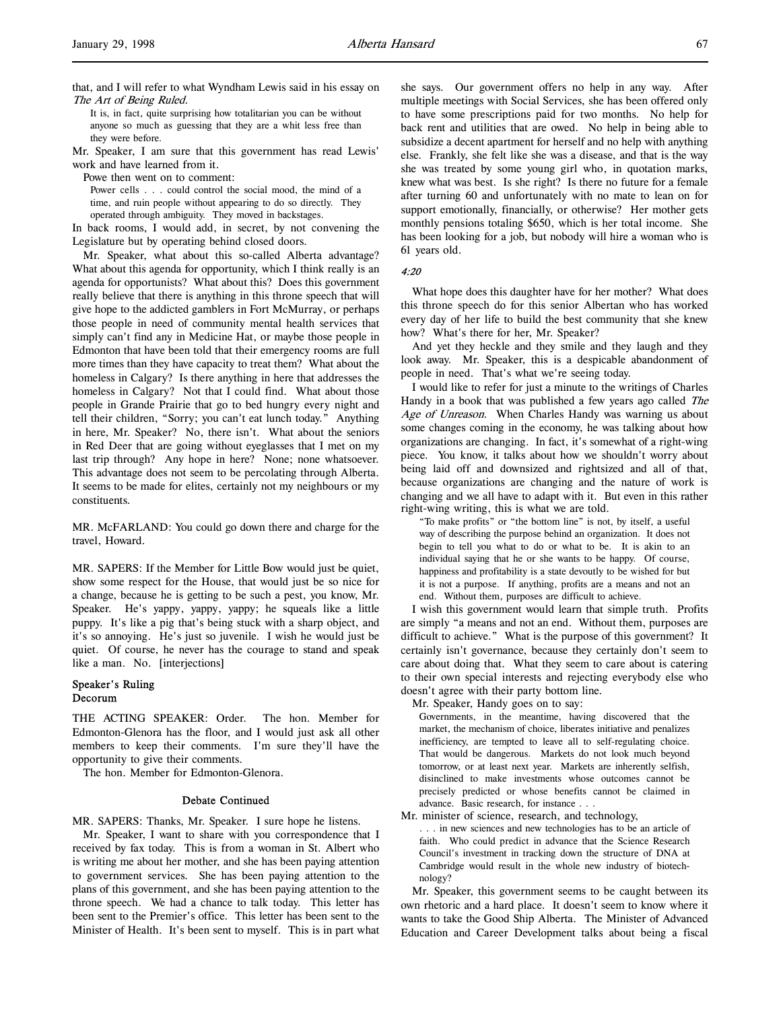It is, in fact, quite surprising how totalitarian you can be without anyone so much as guessing that they are a whit less free than they were before.

Mr. Speaker, I am sure that this government has read Lewis' work and have learned from it.

Powe then went on to comment:

Power cells . . . could control the social mood, the mind of a time, and ruin people without appearing to do so directly. They operated through ambiguity. They moved in backstages.

In back rooms, I would add, in secret, by not convening the Legislature but by operating behind closed doors.

Mr. Speaker, what about this so-called Alberta advantage? What about this agenda for opportunity, which I think really is an agenda for opportunists? What about this? Does this government really believe that there is anything in this throne speech that will give hope to the addicted gamblers in Fort McMurray, or perhaps those people in need of community mental health services that simply can't find any in Medicine Hat, or maybe those people in Edmonton that have been told that their emergency rooms are full more times than they have capacity to treat them? What about the homeless in Calgary? Is there anything in here that addresses the homeless in Calgary? Not that I could find. What about those people in Grande Prairie that go to bed hungry every night and tell their children, "Sorry; you can't eat lunch today." Anything in here, Mr. Speaker? No, there isn't. What about the seniors in Red Deer that are going without eyeglasses that I met on my last trip through? Any hope in here? None; none whatsoever. This advantage does not seem to be percolating through Alberta. It seems to be made for elites, certainly not my neighbours or my constituents.

MR. McFARLAND: You could go down there and charge for the travel, Howard.

MR. SAPERS: If the Member for Little Bow would just be quiet, show some respect for the House, that would just be so nice for a change, because he is getting to be such a pest, you know, Mr. Speaker. He's yappy, yappy, yappy; he squeals like a little puppy. It's like a pig that's being stuck with a sharp object, and it's so annoying. He's just so juvenile. I wish he would just be quiet. Of course, he never has the courage to stand and speak like a man. No. [interjections]

# Speaker's Ruling Decorum

THE ACTING SPEAKER: Order. The hon. Member for Edmonton-Glenora has the floor, and I would just ask all other members to keep their comments. I'm sure they'll have the opportunity to give their comments.

The hon. Member for Edmonton-Glenora.

### Debate Continued

MR. SAPERS: Thanks, Mr. Speaker. I sure hope he listens.

Mr. Speaker, I want to share with you correspondence that I received by fax today. This is from a woman in St. Albert who is writing me about her mother, and she has been paying attention to government services. She has been paying attention to the plans of this government, and she has been paying attention to the throne speech. We had a chance to talk today. This letter has been sent to the Premier's office. This letter has been sent to the Minister of Health. It's been sent to myself. This is in part what

she says. Our government offers no help in any way. After multiple meetings with Social Services, she has been offered only to have some prescriptions paid for two months. No help for back rent and utilities that are owed. No help in being able to subsidize a decent apartment for herself and no help with anything else. Frankly, she felt like she was a disease, and that is the way she was treated by some young girl who, in quotation marks, knew what was best. Is she right? Is there no future for a female after turning 60 and unfortunately with no mate to lean on for support emotionally, financially, or otherwise? Her mother gets monthly pensions totaling \$650, which is her total income. She has been looking for a job, but nobody will hire a woman who is 61 years old.

4:20

What hope does this daughter have for her mother? What does this throne speech do for this senior Albertan who has worked every day of her life to build the best community that she knew how? What's there for her, Mr. Speaker?

And yet they heckle and they smile and they laugh and they look away. Mr. Speaker, this is a despicable abandonment of people in need. That's what we're seeing today.

I would like to refer for just a minute to the writings of Charles Handy in a book that was published a few years ago called The Age of Unreason. When Charles Handy was warning us about some changes coming in the economy, he was talking about how organizations are changing. In fact, it's somewhat of a right-wing piece. You know, it talks about how we shouldn't worry about being laid off and downsized and rightsized and all of that, because organizations are changing and the nature of work is changing and we all have to adapt with it. But even in this rather right-wing writing, this is what we are told.

"To make profits" or "the bottom line" is not, by itself, a useful way of describing the purpose behind an organization. It does not begin to tell you what to do or what to be. It is akin to an individual saying that he or she wants to be happy. Of course, happiness and profitability is a state devoutly to be wished for but it is not a purpose. If anything, profits are a means and not an end. Without them, purposes are difficult to achieve.

I wish this government would learn that simple truth. Profits are simply "a means and not an end. Without them, purposes are difficult to achieve." What is the purpose of this government? It certainly isn't governance, because they certainly don't seem to care about doing that. What they seem to care about is catering to their own special interests and rejecting everybody else who doesn't agree with their party bottom line.

Mr. Speaker, Handy goes on to say:

Governments, in the meantime, having discovered that the market, the mechanism of choice, liberates initiative and penalizes inefficiency, are tempted to leave all to self-regulating choice. That would be dangerous. Markets do not look much beyond tomorrow, or at least next year. Markets are inherently selfish, disinclined to make investments whose outcomes cannot be precisely predicted or whose benefits cannot be claimed in advance. Basic research, for instance . . .

Mr. minister of science, research, and technology,

. . . in new sciences and new technologies has to be an article of faith. Who could predict in advance that the Science Research Council's investment in tracking down the structure of DNA at Cambridge would result in the whole new industry of biotechnology?

Mr. Speaker, this government seems to be caught between its own rhetoric and a hard place. It doesn't seem to know where it wants to take the Good Ship Alberta. The Minister of Advanced Education and Career Development talks about being a fiscal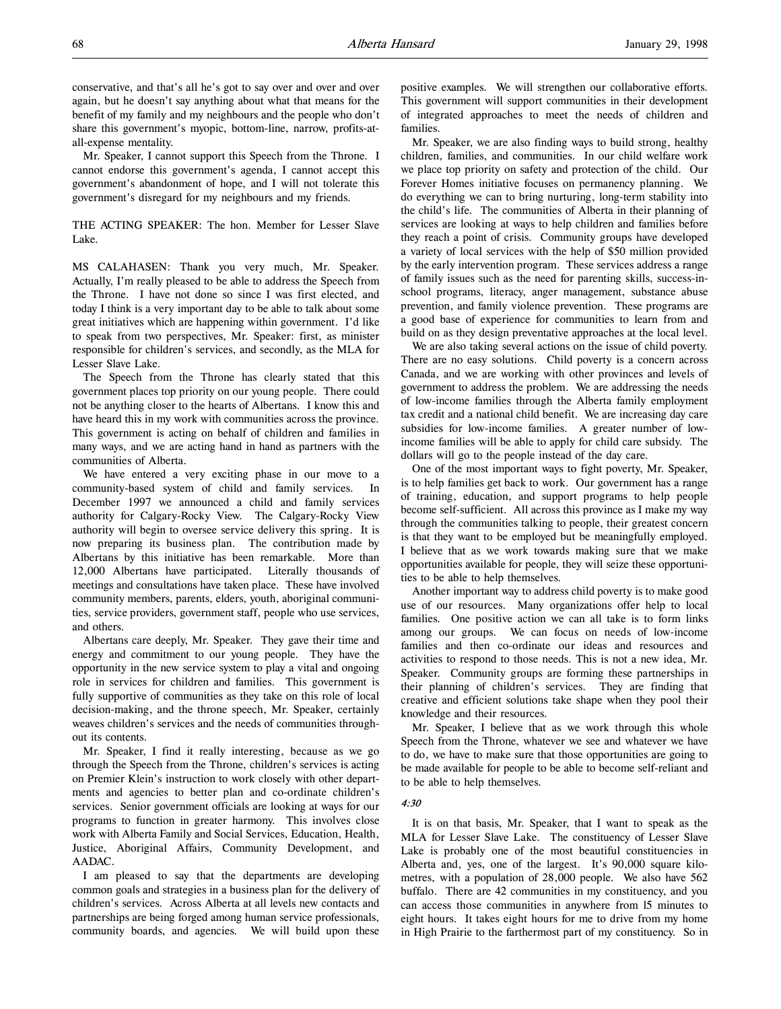conservative, and that's all he's got to say over and over and over again, but he doesn't say anything about what that means for the benefit of my family and my neighbours and the people who don't share this government's myopic, bottom-line, narrow, profits-atall-expense mentality.

Mr. Speaker, I cannot support this Speech from the Throne. I cannot endorse this government's agenda, I cannot accept this government's abandonment of hope, and I will not tolerate this government's disregard for my neighbours and my friends.

THE ACTING SPEAKER: The hon. Member for Lesser Slave Lake.

MS CALAHASEN: Thank you very much, Mr. Speaker. Actually, I'm really pleased to be able to address the Speech from the Throne. I have not done so since I was first elected, and today I think is a very important day to be able to talk about some great initiatives which are happening within government. I'd like to speak from two perspectives, Mr. Speaker: first, as minister responsible for children's services, and secondly, as the MLA for Lesser Slave Lake.

The Speech from the Throne has clearly stated that this government places top priority on our young people. There could not be anything closer to the hearts of Albertans. I know this and have heard this in my work with communities across the province. This government is acting on behalf of children and families in many ways, and we are acting hand in hand as partners with the communities of Alberta.

We have entered a very exciting phase in our move to a community-based system of child and family services. In December 1997 we announced a child and family services authority for Calgary-Rocky View. The Calgary-Rocky View authority will begin to oversee service delivery this spring. It is now preparing its business plan. The contribution made by Albertans by this initiative has been remarkable. More than 12,000 Albertans have participated. Literally thousands of meetings and consultations have taken place. These have involved community members, parents, elders, youth, aboriginal communities, service providers, government staff, people who use services, and others.

Albertans care deeply, Mr. Speaker. They gave their time and energy and commitment to our young people. They have the opportunity in the new service system to play a vital and ongoing role in services for children and families. This government is fully supportive of communities as they take on this role of local decision-making, and the throne speech, Mr. Speaker, certainly weaves children's services and the needs of communities throughout its contents.

Mr. Speaker, I find it really interesting, because as we go through the Speech from the Throne, children's services is acting on Premier Klein's instruction to work closely with other departments and agencies to better plan and co-ordinate children's services. Senior government officials are looking at ways for our programs to function in greater harmony. This involves close work with Alberta Family and Social Services, Education, Health, Justice, Aboriginal Affairs, Community Development, and AADAC.

I am pleased to say that the departments are developing common goals and strategies in a business plan for the delivery of children's services. Across Alberta at all levels new contacts and partnerships are being forged among human service professionals, community boards, and agencies. We will build upon these

positive examples. We will strengthen our collaborative efforts. This government will support communities in their development of integrated approaches to meet the needs of children and families.

Mr. Speaker, we are also finding ways to build strong, healthy children, families, and communities. In our child welfare work we place top priority on safety and protection of the child. Our Forever Homes initiative focuses on permanency planning. We do everything we can to bring nurturing, long-term stability into the child's life. The communities of Alberta in their planning of services are looking at ways to help children and families before they reach a point of crisis. Community groups have developed a variety of local services with the help of \$50 million provided by the early intervention program. These services address a range of family issues such as the need for parenting skills, success-inschool programs, literacy, anger management, substance abuse prevention, and family violence prevention. These programs are a good base of experience for communities to learn from and build on as they design preventative approaches at the local level.

We are also taking several actions on the issue of child poverty. There are no easy solutions. Child poverty is a concern across Canada, and we are working with other provinces and levels of government to address the problem. We are addressing the needs of low-income families through the Alberta family employment tax credit and a national child benefit. We are increasing day care subsidies for low-income families. A greater number of lowincome families will be able to apply for child care subsidy. The dollars will go to the people instead of the day care.

One of the most important ways to fight poverty, Mr. Speaker, is to help families get back to work. Our government has a range of training, education, and support programs to help people become self-sufficient. All across this province as I make my way through the communities talking to people, their greatest concern is that they want to be employed but be meaningfully employed. I believe that as we work towards making sure that we make opportunities available for people, they will seize these opportunities to be able to help themselves.

Another important way to address child poverty is to make good use of our resources. Many organizations offer help to local families. One positive action we can all take is to form links among our groups. We can focus on needs of low-income families and then co-ordinate our ideas and resources and activities to respond to those needs. This is not a new idea, Mr. Speaker. Community groups are forming these partnerships in their planning of children's services. They are finding that creative and efficient solutions take shape when they pool their knowledge and their resources.

Mr. Speaker, I believe that as we work through this whole Speech from the Throne, whatever we see and whatever we have to do, we have to make sure that those opportunities are going to be made available for people to be able to become self-reliant and to be able to help themselves.

#### 4:30

It is on that basis, Mr. Speaker, that I want to speak as the MLA for Lesser Slave Lake. The constituency of Lesser Slave Lake is probably one of the most beautiful constituencies in Alberta and, yes, one of the largest. It's 90,000 square kilometres, with a population of 28,000 people. We also have 562 buffalo. There are 42 communities in my constituency, and you can access those communities in anywhere from l5 minutes to eight hours. It takes eight hours for me to drive from my home in High Prairie to the farthermost part of my constituency. So in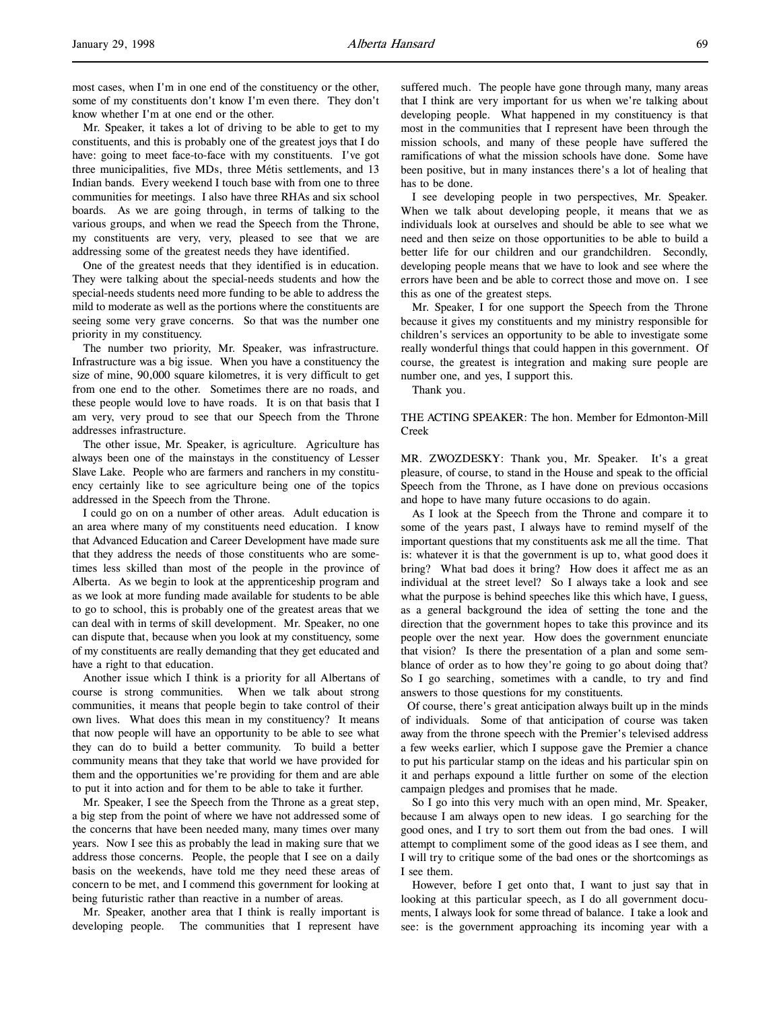most cases, when I'm in one end of the constituency or the other, some of my constituents don't know I'm even there. They don't know whether I'm at one end or the other.

Mr. Speaker, it takes a lot of driving to be able to get to my constituents, and this is probably one of the greatest joys that I do have: going to meet face-to-face with my constituents. I've got three municipalities, five MDs, three Métis settlements, and 13 Indian bands. Every weekend I touch base with from one to three communities for meetings. I also have three RHAs and six school boards. As we are going through, in terms of talking to the various groups, and when we read the Speech from the Throne, my constituents are very, very, pleased to see that we are addressing some of the greatest needs they have identified.

One of the greatest needs that they identified is in education. They were talking about the special-needs students and how the special-needs students need more funding to be able to address the mild to moderate as well as the portions where the constituents are seeing some very grave concerns. So that was the number one priority in my constituency.

The number two priority, Mr. Speaker, was infrastructure. Infrastructure was a big issue. When you have a constituency the size of mine, 90,000 square kilometres, it is very difficult to get from one end to the other. Sometimes there are no roads, and these people would love to have roads. It is on that basis that I am very, very proud to see that our Speech from the Throne addresses infrastructure.

The other issue, Mr. Speaker, is agriculture. Agriculture has always been one of the mainstays in the constituency of Lesser Slave Lake. People who are farmers and ranchers in my constituency certainly like to see agriculture being one of the topics addressed in the Speech from the Throne.

I could go on on a number of other areas. Adult education is an area where many of my constituents need education. I know that Advanced Education and Career Development have made sure that they address the needs of those constituents who are sometimes less skilled than most of the people in the province of Alberta. As we begin to look at the apprenticeship program and as we look at more funding made available for students to be able to go to school, this is probably one of the greatest areas that we can deal with in terms of skill development. Mr. Speaker, no one can dispute that, because when you look at my constituency, some of my constituents are really demanding that they get educated and have a right to that education.

Another issue which I think is a priority for all Albertans of course is strong communities. When we talk about strong communities, it means that people begin to take control of their own lives. What does this mean in my constituency? It means that now people will have an opportunity to be able to see what they can do to build a better community. To build a better community means that they take that world we have provided for them and the opportunities we're providing for them and are able to put it into action and for them to be able to take it further.

Mr. Speaker, I see the Speech from the Throne as a great step, a big step from the point of where we have not addressed some of the concerns that have been needed many, many times over many years. Now I see this as probably the lead in making sure that we address those concerns. People, the people that I see on a daily basis on the weekends, have told me they need these areas of concern to be met, and I commend this government for looking at being futuristic rather than reactive in a number of areas.

Mr. Speaker, another area that I think is really important is developing people. The communities that I represent have

suffered much. The people have gone through many, many areas that I think are very important for us when we're talking about developing people. What happened in my constituency is that most in the communities that I represent have been through the mission schools, and many of these people have suffered the ramifications of what the mission schools have done. Some have been positive, but in many instances there's a lot of healing that has to be done.

I see developing people in two perspectives, Mr. Speaker. When we talk about developing people, it means that we as individuals look at ourselves and should be able to see what we need and then seize on those opportunities to be able to build a better life for our children and our grandchildren. Secondly, developing people means that we have to look and see where the errors have been and be able to correct those and move on. I see this as one of the greatest steps.

Mr. Speaker, I for one support the Speech from the Throne because it gives my constituents and my ministry responsible for children's services an opportunity to be able to investigate some really wonderful things that could happen in this government. Of course, the greatest is integration and making sure people are number one, and yes, I support this.

Thank you.

# THE ACTING SPEAKER: The hon. Member for Edmonton-Mill Creek

MR. ZWOZDESKY: Thank you, Mr. Speaker. It's a great pleasure, of course, to stand in the House and speak to the official Speech from the Throne, as I have done on previous occasions and hope to have many future occasions to do again.

As I look at the Speech from the Throne and compare it to some of the years past, I always have to remind myself of the important questions that my constituents ask me all the time. That is: whatever it is that the government is up to, what good does it bring? What bad does it bring? How does it affect me as an individual at the street level? So I always take a look and see what the purpose is behind speeches like this which have, I guess, as a general background the idea of setting the tone and the direction that the government hopes to take this province and its people over the next year. How does the government enunciate that vision? Is there the presentation of a plan and some semblance of order as to how they're going to go about doing that? So I go searching, sometimes with a candle, to try and find answers to those questions for my constituents.

 Of course, there's great anticipation always built up in the minds of individuals. Some of that anticipation of course was taken away from the throne speech with the Premier's televised address a few weeks earlier, which I suppose gave the Premier a chance to put his particular stamp on the ideas and his particular spin on it and perhaps expound a little further on some of the election campaign pledges and promises that he made.

So I go into this very much with an open mind, Mr. Speaker, because I am always open to new ideas. I go searching for the good ones, and I try to sort them out from the bad ones. I will attempt to compliment some of the good ideas as I see them, and I will try to critique some of the bad ones or the shortcomings as I see them.

However, before I get onto that, I want to just say that in looking at this particular speech, as I do all government documents, I always look for some thread of balance. I take a look and see: is the government approaching its incoming year with a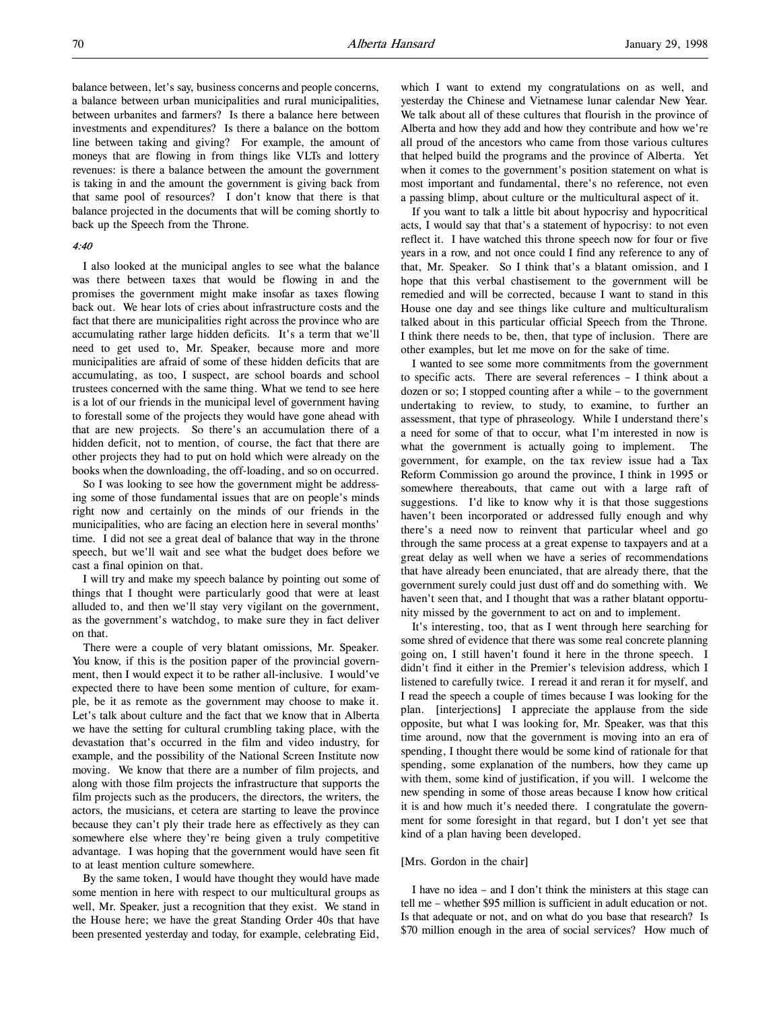balance between, let's say, business concerns and people concerns, a balance between urban municipalities and rural municipalities, between urbanites and farmers? Is there a balance here between investments and expenditures? Is there a balance on the bottom line between taking and giving? For example, the amount of moneys that are flowing in from things like VLTs and lottery revenues: is there a balance between the amount the government is taking in and the amount the government is giving back from that same pool of resources? I don't know that there is that balance projected in the documents that will be coming shortly to back up the Speech from the Throne.

# 4:40

I also looked at the municipal angles to see what the balance was there between taxes that would be flowing in and the promises the government might make insofar as taxes flowing back out. We hear lots of cries about infrastructure costs and the fact that there are municipalities right across the province who are accumulating rather large hidden deficits. It's a term that we'll need to get used to, Mr. Speaker, because more and more municipalities are afraid of some of these hidden deficits that are accumulating, as too, I suspect, are school boards and school trustees concerned with the same thing. What we tend to see here is a lot of our friends in the municipal level of government having to forestall some of the projects they would have gone ahead with that are new projects. So there's an accumulation there of a hidden deficit, not to mention, of course, the fact that there are other projects they had to put on hold which were already on the books when the downloading, the off-loading, and so on occurred.

So I was looking to see how the government might be addressing some of those fundamental issues that are on people's minds right now and certainly on the minds of our friends in the municipalities, who are facing an election here in several months' time. I did not see a great deal of balance that way in the throne speech, but we'll wait and see what the budget does before we cast a final opinion on that.

I will try and make my speech balance by pointing out some of things that I thought were particularly good that were at least alluded to, and then we'll stay very vigilant on the government, as the government's watchdog, to make sure they in fact deliver on that.

There were a couple of very blatant omissions, Mr. Speaker. You know, if this is the position paper of the provincial government, then I would expect it to be rather all-inclusive. I would've expected there to have been some mention of culture, for example, be it as remote as the government may choose to make it. Let's talk about culture and the fact that we know that in Alberta we have the setting for cultural crumbling taking place, with the devastation that's occurred in the film and video industry, for example, and the possibility of the National Screen Institute now moving. We know that there are a number of film projects, and along with those film projects the infrastructure that supports the film projects such as the producers, the directors, the writers, the actors, the musicians, et cetera are starting to leave the province because they can't ply their trade here as effectively as they can somewhere else where they're being given a truly competitive advantage. I was hoping that the government would have seen fit to at least mention culture somewhere.

By the same token, I would have thought they would have made some mention in here with respect to our multicultural groups as well, Mr. Speaker, just a recognition that they exist. We stand in the House here; we have the great Standing Order 40s that have been presented yesterday and today, for example, celebrating Eid,

which I want to extend my congratulations on as well, and yesterday the Chinese and Vietnamese lunar calendar New Year. We talk about all of these cultures that flourish in the province of Alberta and how they add and how they contribute and how we're all proud of the ancestors who came from those various cultures that helped build the programs and the province of Alberta. Yet when it comes to the government's position statement on what is most important and fundamental, there's no reference, not even a passing blimp, about culture or the multicultural aspect of it.

If you want to talk a little bit about hypocrisy and hypocritical acts, I would say that that's a statement of hypocrisy: to not even reflect it. I have watched this throne speech now for four or five years in a row, and not once could I find any reference to any of that, Mr. Speaker. So I think that's a blatant omission, and I hope that this verbal chastisement to the government will be remedied and will be corrected, because I want to stand in this House one day and see things like culture and multiculturalism talked about in this particular official Speech from the Throne. I think there needs to be, then, that type of inclusion. There are other examples, but let me move on for the sake of time.

I wanted to see some more commitments from the government to specific acts. There are several references – I think about a dozen or so; I stopped counting after a while – to the government undertaking to review, to study, to examine, to further an assessment, that type of phraseology. While I understand there's a need for some of that to occur, what I'm interested in now is what the government is actually going to implement. The government, for example, on the tax review issue had a Tax Reform Commission go around the province, I think in 1995 or somewhere thereabouts, that came out with a large raft of suggestions. I'd like to know why it is that those suggestions haven't been incorporated or addressed fully enough and why there's a need now to reinvent that particular wheel and go through the same process at a great expense to taxpayers and at a great delay as well when we have a series of recommendations that have already been enunciated, that are already there, that the government surely could just dust off and do something with. We haven't seen that, and I thought that was a rather blatant opportunity missed by the government to act on and to implement.

It's interesting, too, that as I went through here searching for some shred of evidence that there was some real concrete planning going on, I still haven't found it here in the throne speech. I didn't find it either in the Premier's television address, which I listened to carefully twice. I reread it and reran it for myself, and I read the speech a couple of times because I was looking for the plan. [interjections] I appreciate the applause from the side opposite, but what I was looking for, Mr. Speaker, was that this time around, now that the government is moving into an era of spending, I thought there would be some kind of rationale for that spending, some explanation of the numbers, how they came up with them, some kind of justification, if you will. I welcome the new spending in some of those areas because I know how critical it is and how much it's needed there. I congratulate the government for some foresight in that regard, but I don't yet see that kind of a plan having been developed.

### [Mrs. Gordon in the chair]

I have no idea – and I don't think the ministers at this stage can tell me – whether \$95 million is sufficient in adult education or not. Is that adequate or not, and on what do you base that research? Is \$70 million enough in the area of social services? How much of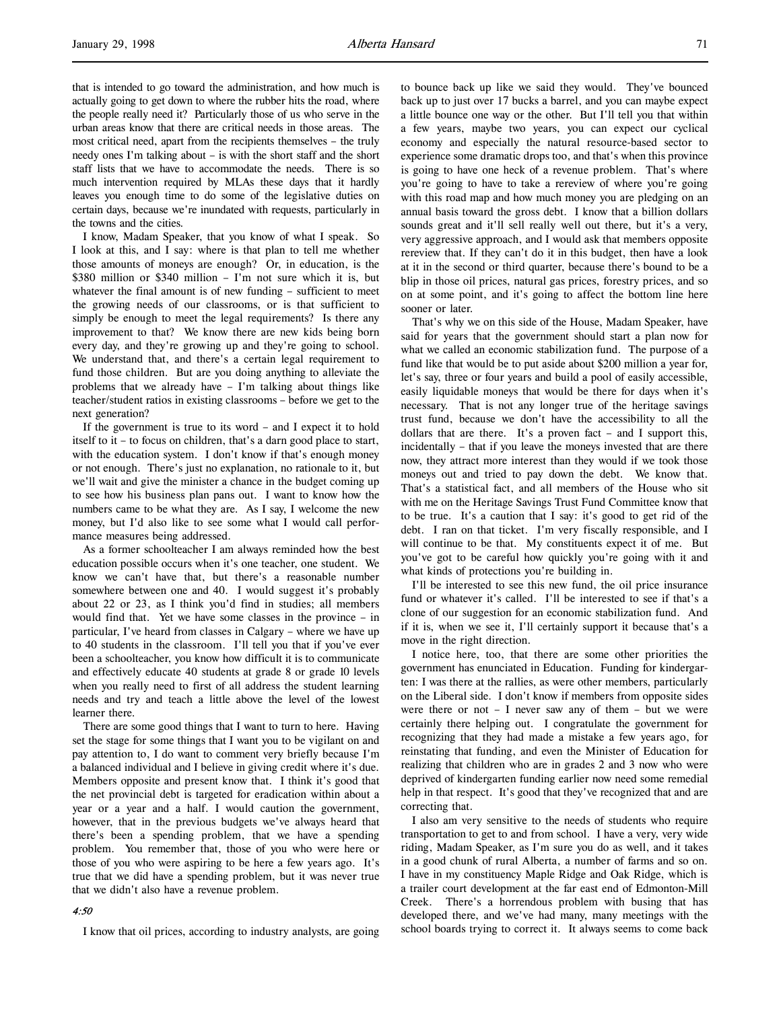that is intended to go toward the administration, and how much is actually going to get down to where the rubber hits the road, where the people really need it? Particularly those of us who serve in the urban areas know that there are critical needs in those areas. The most critical need, apart from the recipients themselves – the truly needy ones I'm talking about – is with the short staff and the short staff lists that we have to accommodate the needs. There is so much intervention required by MLAs these days that it hardly leaves you enough time to do some of the legislative duties on certain days, because we're inundated with requests, particularly in the towns and the cities.

I know, Madam Speaker, that you know of what I speak. So I look at this, and I say: where is that plan to tell me whether those amounts of moneys are enough? Or, in education, is the \$380 million or \$340 million – I'm not sure which it is, but whatever the final amount is of new funding - sufficient to meet the growing needs of our classrooms, or is that sufficient to simply be enough to meet the legal requirements? Is there any improvement to that? We know there are new kids being born every day, and they're growing up and they're going to school. We understand that, and there's a certain legal requirement to fund those children. But are you doing anything to alleviate the problems that we already have – I'm talking about things like teacher/student ratios in existing classrooms – before we get to the next generation?

If the government is true to its word – and I expect it to hold itself to it – to focus on children, that's a darn good place to start, with the education system. I don't know if that's enough money or not enough. There's just no explanation, no rationale to it, but we'll wait and give the minister a chance in the budget coming up to see how his business plan pans out. I want to know how the numbers came to be what they are. As I say, I welcome the new money, but I'd also like to see some what I would call performance measures being addressed.

As a former schoolteacher I am always reminded how the best education possible occurs when it's one teacher, one student. We know we can't have that, but there's a reasonable number somewhere between one and 40. I would suggest it's probably about 22 or 23, as I think you'd find in studies; all members would find that. Yet we have some classes in the province – in particular, I've heard from classes in Calgary – where we have up to 40 students in the classroom. I'll tell you that if you've ever been a schoolteacher, you know how difficult it is to communicate and effectively educate 40 students at grade 8 or grade 10 levels when you really need to first of all address the student learning needs and try and teach a little above the level of the lowest learner there.

There are some good things that I want to turn to here. Having set the stage for some things that I want you to be vigilant on and pay attention to, I do want to comment very briefly because I'm a balanced individual and I believe in giving credit where it's due. Members opposite and present know that. I think it's good that the net provincial debt is targeted for eradication within about a year or a year and a half. I would caution the government, however, that in the previous budgets we've always heard that there's been a spending problem, that we have a spending problem. You remember that, those of you who were here or those of you who were aspiring to be here a few years ago. It's true that we did have a spending problem, but it was never true that we didn't also have a revenue problem.

# 4:50

I know that oil prices, according to industry analysts, are going

to bounce back up like we said they would. They've bounced back up to just over 17 bucks a barrel, and you can maybe expect a little bounce one way or the other. But I'll tell you that within a few years, maybe two years, you can expect our cyclical economy and especially the natural resource-based sector to experience some dramatic drops too, and that's when this province is going to have one heck of a revenue problem. That's where you're going to have to take a rereview of where you're going with this road map and how much money you are pledging on an annual basis toward the gross debt. I know that a billion dollars sounds great and it'll sell really well out there, but it's a very, very aggressive approach, and I would ask that members opposite rereview that. If they can't do it in this budget, then have a look at it in the second or third quarter, because there's bound to be a blip in those oil prices, natural gas prices, forestry prices, and so on at some point, and it's going to affect the bottom line here sooner or later.

That's why we on this side of the House, Madam Speaker, have said for years that the government should start a plan now for what we called an economic stabilization fund. The purpose of a fund like that would be to put aside about \$200 million a year for, let's say, three or four years and build a pool of easily accessible, easily liquidable moneys that would be there for days when it's necessary. That is not any longer true of the heritage savings trust fund, because we don't have the accessibility to all the dollars that are there. It's a proven fact – and I support this, incidentally – that if you leave the moneys invested that are there now, they attract more interest than they would if we took those moneys out and tried to pay down the debt. We know that. That's a statistical fact, and all members of the House who sit with me on the Heritage Savings Trust Fund Committee know that to be true. It's a caution that I say: it's good to get rid of the debt. I ran on that ticket. I'm very fiscally responsible, and I will continue to be that. My constituents expect it of me. But you've got to be careful how quickly you're going with it and what kinds of protections you're building in.

I'll be interested to see this new fund, the oil price insurance fund or whatever it's called. I'll be interested to see if that's a clone of our suggestion for an economic stabilization fund. And if it is, when we see it, I'll certainly support it because that's a move in the right direction.

I notice here, too, that there are some other priorities the government has enunciated in Education. Funding for kindergarten: I was there at the rallies, as were other members, particularly on the Liberal side. I don't know if members from opposite sides were there or not  $-$  I never saw any of them  $-$  but we were certainly there helping out. I congratulate the government for recognizing that they had made a mistake a few years ago, for reinstating that funding, and even the Minister of Education for realizing that children who are in grades 2 and 3 now who were deprived of kindergarten funding earlier now need some remedial help in that respect. It's good that they've recognized that and are correcting that.

I also am very sensitive to the needs of students who require transportation to get to and from school. I have a very, very wide riding, Madam Speaker, as I'm sure you do as well, and it takes in a good chunk of rural Alberta, a number of farms and so on. I have in my constituency Maple Ridge and Oak Ridge, which is a trailer court development at the far east end of Edmonton-Mill Creek. There's a horrendous problem with busing that has developed there, and we've had many, many meetings with the school boards trying to correct it. It always seems to come back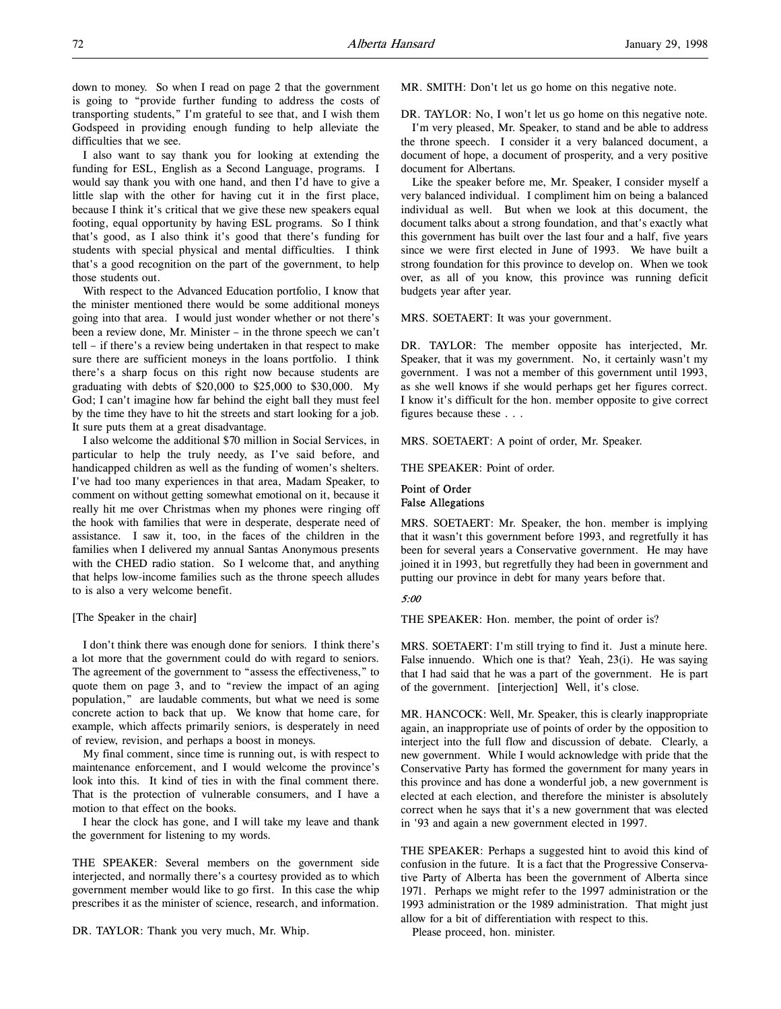down to money. So when I read on page 2 that the government is going to "provide further funding to address the costs of transporting students," I'm grateful to see that, and I wish them Godspeed in providing enough funding to help alleviate the difficulties that we see.

I also want to say thank you for looking at extending the funding for ESL, English as a Second Language, programs. I would say thank you with one hand, and then I'd have to give a little slap with the other for having cut it in the first place, because I think it's critical that we give these new speakers equal footing, equal opportunity by having ESL programs. So I think that's good, as I also think it's good that there's funding for students with special physical and mental difficulties. I think that's a good recognition on the part of the government, to help those students out.

With respect to the Advanced Education portfolio, I know that the minister mentioned there would be some additional moneys going into that area. I would just wonder whether or not there's been a review done, Mr. Minister – in the throne speech we can't tell – if there's a review being undertaken in that respect to make sure there are sufficient moneys in the loans portfolio. I think there's a sharp focus on this right now because students are graduating with debts of \$20,000 to \$25,000 to \$30,000. My God; I can't imagine how far behind the eight ball they must feel by the time they have to hit the streets and start looking for a job. It sure puts them at a great disadvantage.

I also welcome the additional \$70 million in Social Services, in particular to help the truly needy, as I've said before, and handicapped children as well as the funding of women's shelters. I've had too many experiences in that area, Madam Speaker, to comment on without getting somewhat emotional on it, because it really hit me over Christmas when my phones were ringing off the hook with families that were in desperate, desperate need of assistance. I saw it, too, in the faces of the children in the families when I delivered my annual Santas Anonymous presents with the CHED radio station. So I welcome that, and anything that helps low-income families such as the throne speech alludes to is also a very welcome benefit.

# [The Speaker in the chair]

I don't think there was enough done for seniors. I think there's a lot more that the government could do with regard to seniors. The agreement of the government to "assess the effectiveness," to quote them on page 3, and to "review the impact of an aging population," are laudable comments, but what we need is some concrete action to back that up. We know that home care, for example, which affects primarily seniors, is desperately in need of review, revision, and perhaps a boost in moneys.

My final comment, since time is running out, is with respect to maintenance enforcement, and I would welcome the province's look into this. It kind of ties in with the final comment there. That is the protection of vulnerable consumers, and I have a motion to that effect on the books.

I hear the clock has gone, and I will take my leave and thank the government for listening to my words.

THE SPEAKER: Several members on the government side interjected, and normally there's a courtesy provided as to which government member would like to go first. In this case the whip prescribes it as the minister of science, research, and information.

DR. TAYLOR: Thank you very much, Mr. Whip.

MR. SMITH: Don't let us go home on this negative note.

DR. TAYLOR: No, I won't let us go home on this negative note.

I'm very pleased, Mr. Speaker, to stand and be able to address the throne speech. I consider it a very balanced document, a document of hope, a document of prosperity, and a very positive document for Albertans.

Like the speaker before me, Mr. Speaker, I consider myself a very balanced individual. I compliment him on being a balanced individual as well. But when we look at this document, the document talks about a strong foundation, and that's exactly what this government has built over the last four and a half, five years since we were first elected in June of 1993. We have built a strong foundation for this province to develop on. When we took over, as all of you know, this province was running deficit budgets year after year.

MRS. SOETAERT: It was your government.

DR. TAYLOR: The member opposite has interjected, Mr. Speaker, that it was my government. No, it certainly wasn't my government. I was not a member of this government until 1993, as she well knows if she would perhaps get her figures correct. I know it's difficult for the hon. member opposite to give correct figures because these . . .

MRS. SOETAERT: A point of order, Mr. Speaker.

THE SPEAKER: Point of order.

# Point of Order False Allegations

MRS. SOETAERT: Mr. Speaker, the hon. member is implying that it wasn't this government before 1993, and regretfully it has been for several years a Conservative government. He may have joined it in 1993, but regretfully they had been in government and putting our province in debt for many years before that.

# 5:00

THE SPEAKER: Hon. member, the point of order is?

MRS. SOETAERT: I'm still trying to find it. Just a minute here. False innuendo. Which one is that? Yeah, 23(i). He was saying that I had said that he was a part of the government. He is part of the government. [interjection] Well, it's close.

MR. HANCOCK: Well, Mr. Speaker, this is clearly inappropriate again, an inappropriate use of points of order by the opposition to interject into the full flow and discussion of debate. Clearly, a new government. While I would acknowledge with pride that the Conservative Party has formed the government for many years in this province and has done a wonderful job, a new government is elected at each election, and therefore the minister is absolutely correct when he says that it's a new government that was elected in '93 and again a new government elected in 1997.

THE SPEAKER: Perhaps a suggested hint to avoid this kind of confusion in the future. It is a fact that the Progressive Conservative Party of Alberta has been the government of Alberta since 1971. Perhaps we might refer to the 1997 administration or the 1993 administration or the 1989 administration. That might just allow for a bit of differentiation with respect to this.

Please proceed, hon. minister.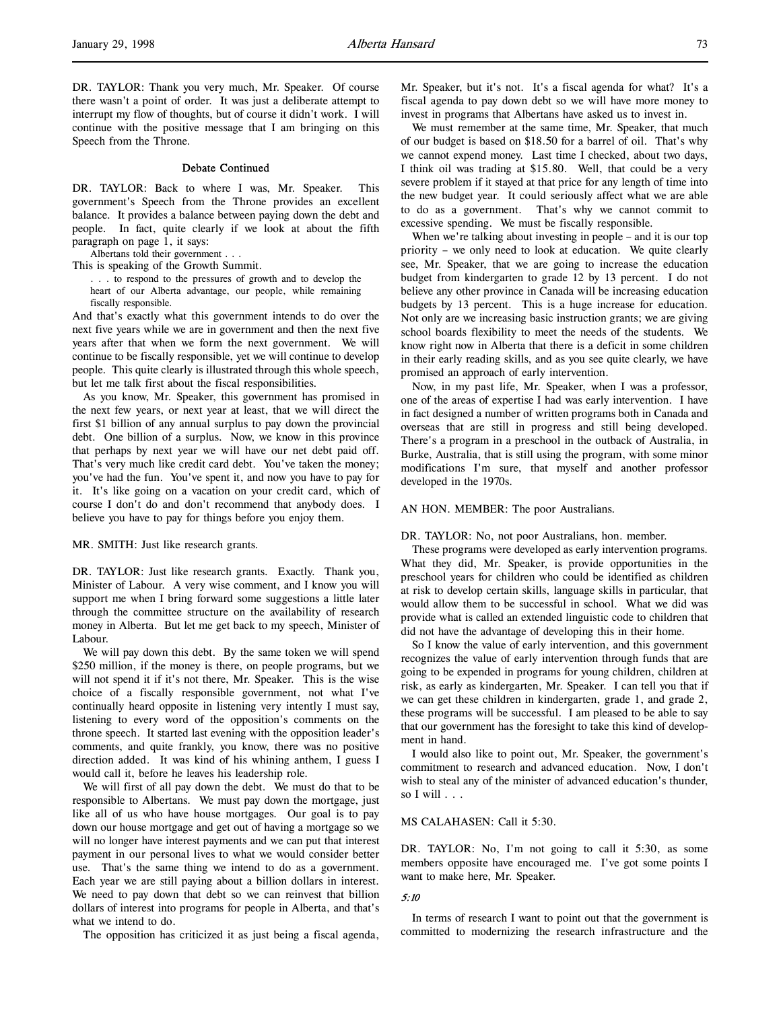DR. TAYLOR: Thank you very much, Mr. Speaker. Of course there wasn't a point of order. It was just a deliberate attempt to interrupt my flow of thoughts, but of course it didn't work. I will continue with the positive message that I am bringing on this Speech from the Throne.

### Debate Continued

DR. TAYLOR: Back to where I was, Mr. Speaker. This government's Speech from the Throne provides an excellent balance. It provides a balance between paying down the debt and people. In fact, quite clearly if we look at about the fifth paragraph on page 1, it says:

- Albertans told their government . . .
- This is speaking of the Growth Summit.

. . . to respond to the pressures of growth and to develop the heart of our Alberta advantage, our people, while remaining fiscally responsible.

And that's exactly what this government intends to do over the next five years while we are in government and then the next five years after that when we form the next government. We will continue to be fiscally responsible, yet we will continue to develop people. This quite clearly is illustrated through this whole speech, but let me talk first about the fiscal responsibilities.

As you know, Mr. Speaker, this government has promised in the next few years, or next year at least, that we will direct the first \$1 billion of any annual surplus to pay down the provincial debt. One billion of a surplus. Now, we know in this province that perhaps by next year we will have our net debt paid off. That's very much like credit card debt. You've taken the money; you've had the fun. You've spent it, and now you have to pay for it. It's like going on a vacation on your credit card, which of course I don't do and don't recommend that anybody does. I believe you have to pay for things before you enjoy them.

#### MR. SMITH: Just like research grants.

DR. TAYLOR: Just like research grants. Exactly. Thank you, Minister of Labour. A very wise comment, and I know you will support me when I bring forward some suggestions a little later through the committee structure on the availability of research money in Alberta. But let me get back to my speech, Minister of Labour.

We will pay down this debt. By the same token we will spend \$250 million, if the money is there, on people programs, but we will not spend it if it's not there, Mr. Speaker. This is the wise choice of a fiscally responsible government, not what I've continually heard opposite in listening very intently I must say, listening to every word of the opposition's comments on the throne speech. It started last evening with the opposition leader's comments, and quite frankly, you know, there was no positive direction added. It was kind of his whining anthem, I guess I would call it, before he leaves his leadership role.

We will first of all pay down the debt. We must do that to be responsible to Albertans. We must pay down the mortgage, just like all of us who have house mortgages. Our goal is to pay down our house mortgage and get out of having a mortgage so we will no longer have interest payments and we can put that interest payment in our personal lives to what we would consider better use. That's the same thing we intend to do as a government. Each year we are still paying about a billion dollars in interest. We need to pay down that debt so we can reinvest that billion dollars of interest into programs for people in Alberta, and that's what we intend to do.

The opposition has criticized it as just being a fiscal agenda,

Mr. Speaker, but it's not. It's a fiscal agenda for what? It's a fiscal agenda to pay down debt so we will have more money to invest in programs that Albertans have asked us to invest in.

We must remember at the same time, Mr. Speaker, that much of our budget is based on \$18.50 for a barrel of oil. That's why we cannot expend money. Last time I checked, about two days, I think oil was trading at \$15.80. Well, that could be a very severe problem if it stayed at that price for any length of time into the new budget year. It could seriously affect what we are able to do as a government. That's why we cannot commit to excessive spending. We must be fiscally responsible.

When we're talking about investing in people – and it is our top priority – we only need to look at education. We quite clearly see, Mr. Speaker, that we are going to increase the education budget from kindergarten to grade 12 by 13 percent. I do not believe any other province in Canada will be increasing education budgets by 13 percent. This is a huge increase for education. Not only are we increasing basic instruction grants; we are giving school boards flexibility to meet the needs of the students. We know right now in Alberta that there is a deficit in some children in their early reading skills, and as you see quite clearly, we have promised an approach of early intervention.

Now, in my past life, Mr. Speaker, when I was a professor, one of the areas of expertise I had was early intervention. I have in fact designed a number of written programs both in Canada and overseas that are still in progress and still being developed. There's a program in a preschool in the outback of Australia, in Burke, Australia, that is still using the program, with some minor modifications I'm sure, that myself and another professor developed in the 1970s.

#### AN HON. MEMBER: The poor Australians.

#### DR. TAYLOR: No, not poor Australians, hon. member.

These programs were developed as early intervention programs. What they did, Mr. Speaker, is provide opportunities in the preschool years for children who could be identified as children at risk to develop certain skills, language skills in particular, that would allow them to be successful in school. What we did was provide what is called an extended linguistic code to children that did not have the advantage of developing this in their home.

So I know the value of early intervention, and this government recognizes the value of early intervention through funds that are going to be expended in programs for young children, children at risk, as early as kindergarten, Mr. Speaker. I can tell you that if we can get these children in kindergarten, grade 1, and grade 2, these programs will be successful. I am pleased to be able to say that our government has the foresight to take this kind of development in hand.

I would also like to point out, Mr. Speaker, the government's commitment to research and advanced education. Now, I don't wish to steal any of the minister of advanced education's thunder, so I will . . .

### MS CALAHASEN: Call it 5:30.

DR. TAYLOR: No, I'm not going to call it 5:30, as some members opposite have encouraged me. I've got some points I want to make here, Mr. Speaker.

### 5:10

In terms of research I want to point out that the government is committed to modernizing the research infrastructure and the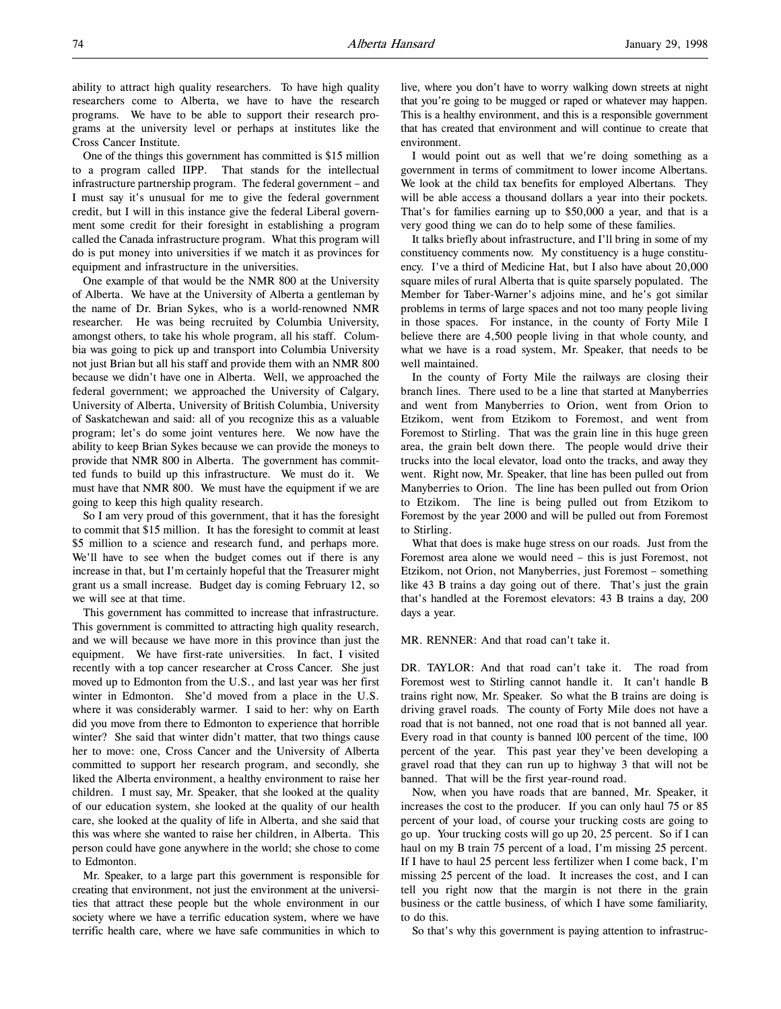ability to attract high quality researchers. To have high quality researchers come to Alberta, we have to have the research programs. We have to be able to support their research programs at the university level or perhaps at institutes like the Cross Cancer Institute.

One of the things this government has committed is \$15 million to a program called IIPP. That stands for the intellectual infrastructure partnership program. The federal government – and I must say it's unusual for me to give the federal government credit, but I will in this instance give the federal Liberal government some credit for their foresight in establishing a program called the Canada infrastructure program. What this program will do is put money into universities if we match it as provinces for equipment and infrastructure in the universities.

One example of that would be the NMR 800 at the University of Alberta. We have at the University of Alberta a gentleman by the name of Dr. Brian Sykes, who is a world-renowned NMR researcher. He was being recruited by Columbia University, amongst others, to take his whole program, all his staff. Columbia was going to pick up and transport into Columbia University not just Brian but all his staff and provide them with an NMR 800 because we didn't have one in Alberta. Well, we approached the federal government; we approached the University of Calgary, University of Alberta, University of British Columbia, University of Saskatchewan and said: all of you recognize this as a valuable program; let's do some joint ventures here. We now have the ability to keep Brian Sykes because we can provide the moneys to provide that NMR 800 in Alberta. The government has committed funds to build up this infrastructure. We must do it. We must have that NMR 800. We must have the equipment if we are going to keep this high quality research.

So I am very proud of this government, that it has the foresight to commit that \$15 million. It has the foresight to commit at least \$5 million to a science and research fund, and perhaps more. We'll have to see when the budget comes out if there is any increase in that, but I'm certainly hopeful that the Treasurer might grant us a small increase. Budget day is coming February 12, so we will see at that time.

This government has committed to increase that infrastructure. This government is committed to attracting high quality research, and we will because we have more in this province than just the equipment. We have first-rate universities. In fact, I visited recently with a top cancer researcher at Cross Cancer. She just moved up to Edmonton from the U.S., and last year was her first winter in Edmonton. She'd moved from a place in the U.S. where it was considerably warmer. I said to her: why on Earth did you move from there to Edmonton to experience that horrible winter? She said that winter didn't matter, that two things cause her to move: one, Cross Cancer and the University of Alberta committed to support her research program, and secondly, she liked the Alberta environment, a healthy environment to raise her children. I must say, Mr. Speaker, that she looked at the quality of our education system, she looked at the quality of our health care, she looked at the quality of life in Alberta, and she said that this was where she wanted to raise her children, in Alberta. This person could have gone anywhere in the world; she chose to come to Edmonton.

Mr. Speaker, to a large part this government is responsible for creating that environment, not just the environment at the universities that attract these people but the whole environment in our society where we have a terrific education system, where we have terrific health care, where we have safe communities in which to

live, where you don't have to worry walking down streets at night that you're going to be mugged or raped or whatever may happen. This is a healthy environment, and this is a responsible government that has created that environment and will continue to create that environment.

I would point out as well that we're doing something as a government in terms of commitment to lower income Albertans. We look at the child tax benefits for employed Albertans. They will be able access a thousand dollars a year into their pockets. That's for families earning up to \$50,000 a year, and that is a very good thing we can do to help some of these families.

It talks briefly about infrastructure, and I'll bring in some of my constituency comments now. My constituency is a huge constituency. I've a third of Medicine Hat, but I also have about 20,000 square miles of rural Alberta that is quite sparsely populated. The Member for Taber-Warner's adjoins mine, and he's got similar problems in terms of large spaces and not too many people living in those spaces. For instance, in the county of Forty Mile I believe there are 4,500 people living in that whole county, and what we have is a road system, Mr. Speaker, that needs to be well maintained.

In the county of Forty Mile the railways are closing their branch lines. There used to be a line that started at Manyberries and went from Manyberries to Orion, went from Orion to Etzikom, went from Etzikom to Foremost, and went from Foremost to Stirling. That was the grain line in this huge green area, the grain belt down there. The people would drive their trucks into the local elevator, load onto the tracks, and away they went. Right now, Mr. Speaker, that line has been pulled out from Manyberries to Orion. The line has been pulled out from Orion to Etzikom. The line is being pulled out from Etzikom to Foremost by the year 2000 and will be pulled out from Foremost to Stirling.

What that does is make huge stress on our roads. Just from the Foremost area alone we would need – this is just Foremost, not Etzikom, not Orion, not Manyberries, just Foremost – something like 43 B trains a day going out of there. That's just the grain that's handled at the Foremost elevators: 43 B trains a day, 200 days a year.

MR. RENNER: And that road can't take it.

DR. TAYLOR: And that road can't take it. The road from Foremost west to Stirling cannot handle it. It can't handle B trains right now, Mr. Speaker. So what the B trains are doing is driving gravel roads. The county of Forty Mile does not have a road that is not banned, not one road that is not banned all year. Every road in that county is banned 100 percent of the time, 100 percent of the year. This past year they've been developing a gravel road that they can run up to highway 3 that will not be banned. That will be the first year-round road.

Now, when you have roads that are banned, Mr. Speaker, it increases the cost to the producer. If you can only haul 75 or 85 percent of your load, of course your trucking costs are going to go up. Your trucking costs will go up 20, 25 percent. So if I can haul on my B train 75 percent of a load, I'm missing 25 percent. If I have to haul 25 percent less fertilizer when I come back, I'm missing 25 percent of the load. It increases the cost, and I can tell you right now that the margin is not there in the grain business or the cattle business, of which I have some familiarity, to do this.

So that's why this government is paying attention to infrastruc-